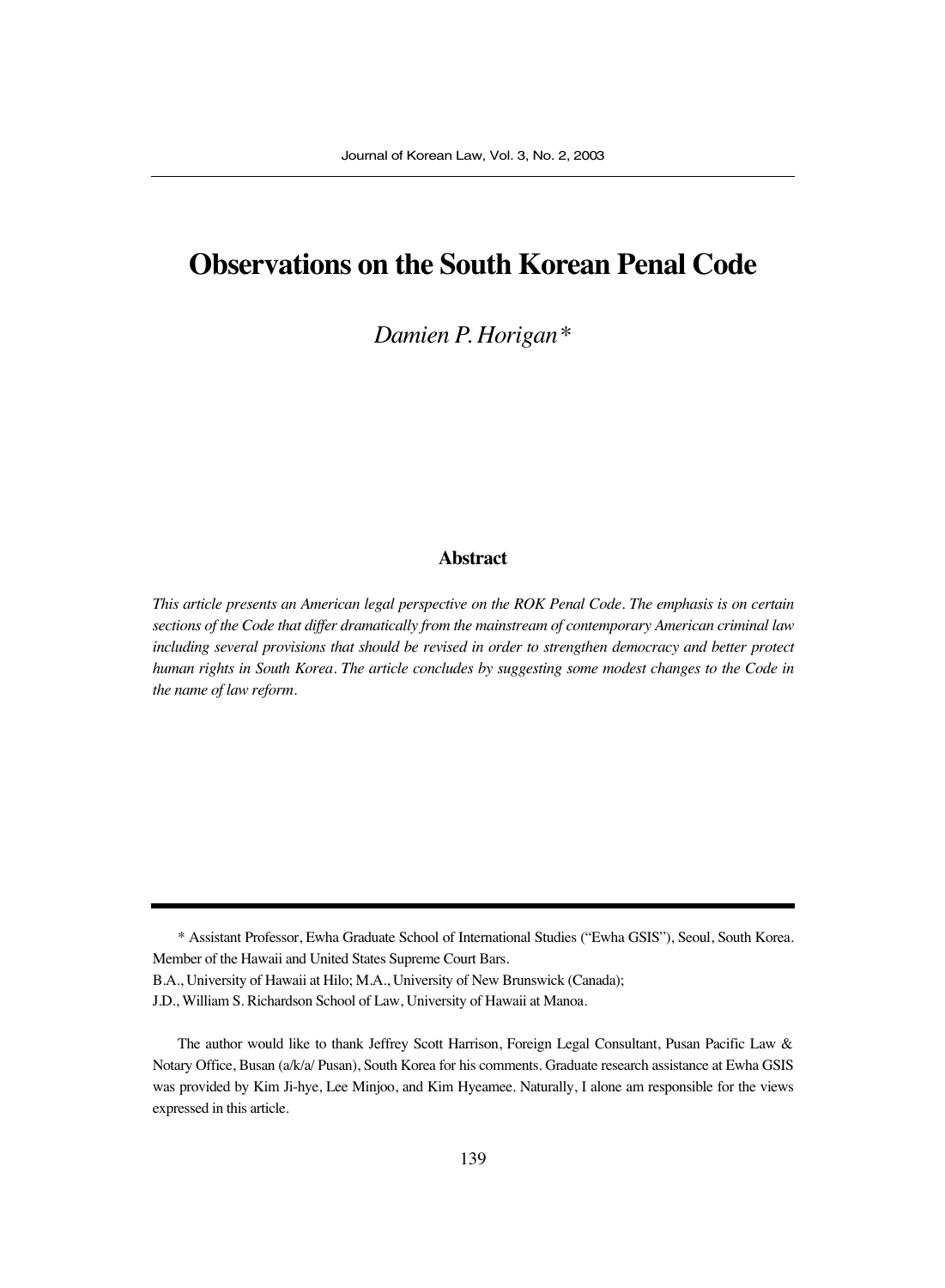# **Observations on the South Korean Penal Code**

*Damien P. Horigan\**

#### **Abstract**

*This article presents an American legal perspective on the ROK Penal Code. The emphasis is on certain sections of the Code that differ dramatically from the mainstream of contemporary American criminal law including several provisions that should be revised in order to strengthen democracy and better protect human rights in South Korea. The article concludes by suggesting some modest changes to the Code in the name of law reform.* 

B.A., University of Hawaii at Hilo; M.A., University of New Brunswick (Canada);

J.D., William S. Richardson School of Law, University of Hawaii at Manoa.

<sup>\*</sup> Assistant Professor, Ewha Graduate School of International Studies ("Ewha GSIS"), Seoul, South Korea. Member of the Hawaii and United States Supreme Court Bars.

The author would like to thank Jeffrey Scott Harrison, Foreign Legal Consultant, Pusan Pacific Law & Notary Office, Busan (a/k/a/ Pusan), South Korea for his comments. Graduate research assistance at Ewha GSIS was provided by Kim Ji-hye, Lee Minjoo, and Kim Hyeamee. Naturally, I alone am responsible for the views expressed in this article.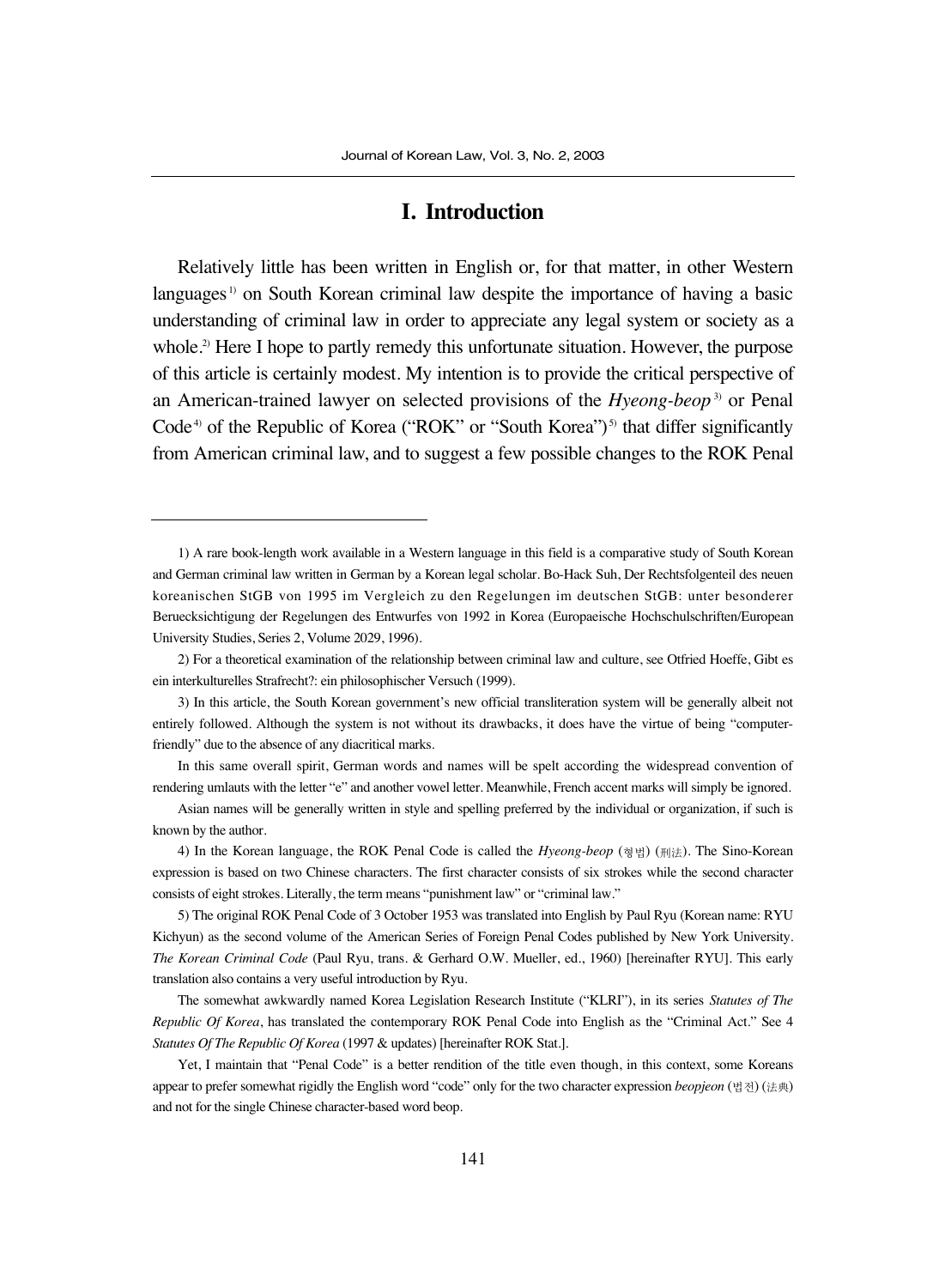## **I. Introduction**

Relatively little has been written in English or, for that matter, in other Western languages<sup>1</sup> on South Korean criminal law despite the importance of having a basic understanding of criminal law in order to appreciate any legal system or society as a whole.<sup>2)</sup> Here I hope to partly remedy this unfortunate situation. However, the purpose of this article is certainly modest. My intention is to provide the critical perspective of an American-trained lawyer on selected provisions of the *Hyeong-beop* 3) or Penal Code<sup>4)</sup> of the Republic of Korea ("ROK" or "South Korea")<sup>5)</sup> that differ significantly from American criminal law, and to suggest a few possible changes to the ROK Penal

1) A rare book-length work available in a Western language in this field is a comparative study of South Korean and German criminal law written in German by a Korean legal scholar. Bo-Hack Suh, Der Rechtsfolgenteil des neuen koreanischen StGB von 1995 im Vergleich zu den Regelungen im deutschen StGB: unter besonderer Beruecksichtigung der Regelungen des Entwurfes von 1992 in Korea (Europaeische Hochschulschriften/European University Studies, Series 2, Volume 2029, 1996).

In this same overall spirit, German words and names will be spelt according the widespread convention of rendering umlauts with the letter "e" and another vowel letter. Meanwhile, French accent marks will simply be ignored.

<sup>2)</sup> For a theoretical examination of the relationship between criminal law and culture, see Otfried Hoeffe, Gibt es ein interkulturelles Strafrecht?: ein philosophischer Versuch (1999).

<sup>3)</sup> In this article, the South Korean government's new official transliteration system will be generally albeit not entirely followed. Although the system is not without its drawbacks, it does have the virtue of being "computerfriendly" due to the absence of any diacritical marks.

Asian names will be generally written in style and spelling preferred by the individual or organization, if such is known by the author.

<sup>4)</sup> In the Korean language, the ROK Penal Code is called the *Hyeong-beop* (형법) (刑法). The Sino-Korean expression is based on two Chinese characters. The first character consists of six strokes while the second character consists of eight strokes. Literally, the term means "punishment law" or "criminal law."

<sup>5)</sup> The original ROK Penal Code of 3 October 1953 was translated into English by Paul Ryu (Korean name: RYU Kichyun) as the second volume of the American Series of Foreign Penal Codes published by New York University. *The Korean Criminal Code* (Paul Ryu, trans. & Gerhard O.W. Mueller, ed., 1960) [hereinafter RYU]. This early translation also contains a very useful introduction by Ryu.

The somewhat awkwardly named Korea Legislation Research Institute ("KLRI"), in its series *Statutes of The Republic Of Korea*, has translated the contemporary ROK Penal Code into English as the "Criminal Act." See 4 *Statutes Of The Republic Of Korea* (1997 & updates) [hereinafter ROK Stat.].

Yet, I maintain that "Penal Code" is a better rendition of the title even though, in this context, some Koreans appear to prefer somewhat rigidly the English word "code" only for the two character expression *beopjeon* (법전) (法典) and not for the single Chinese character-based word beop.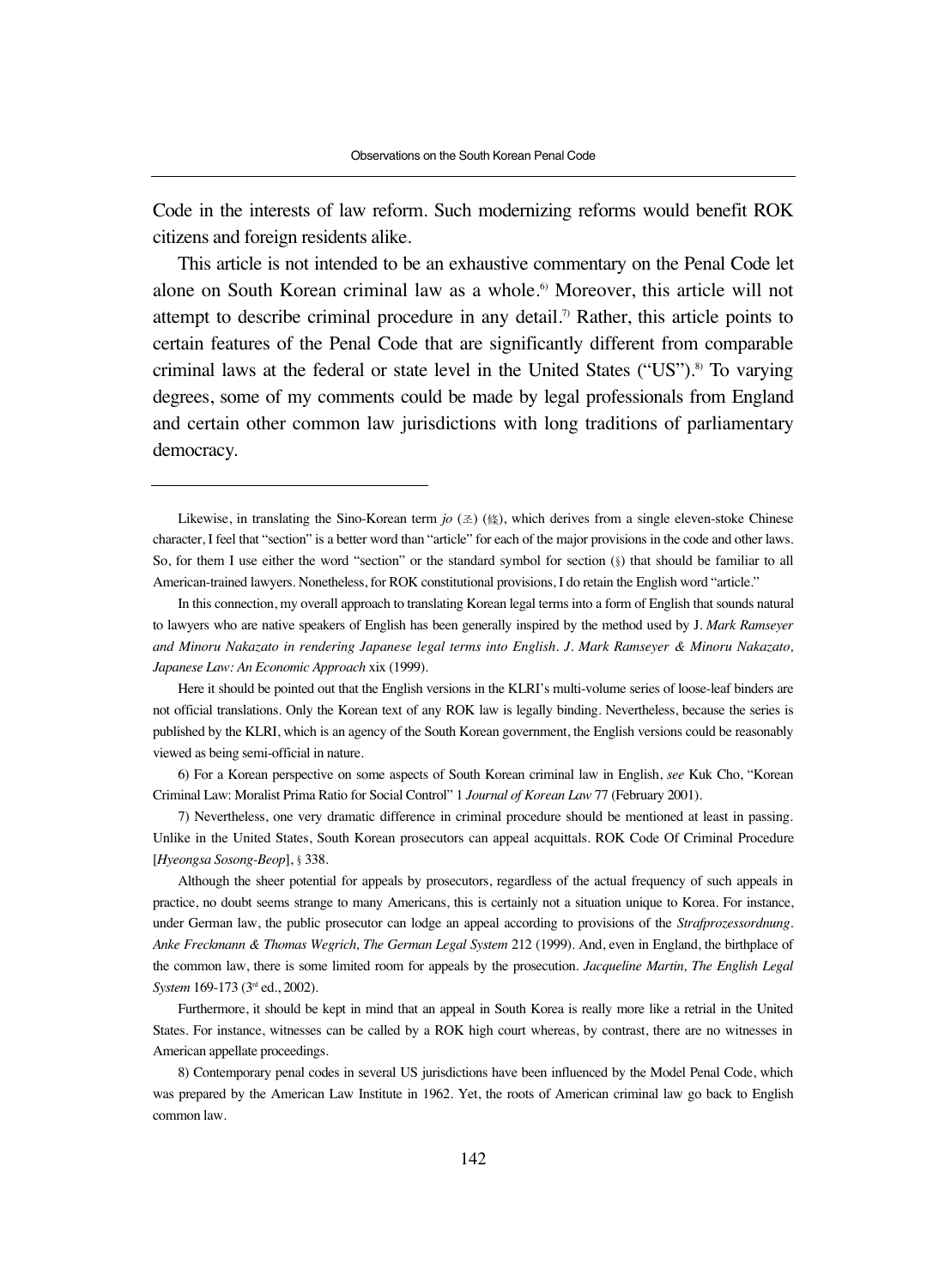Code in the interests of law reform. Such modernizing reforms would benefit ROK citizens and foreign residents alike.

This article is not intended to be an exhaustive commentary on the Penal Code let alone on South Korean criminal law as a whole.<sup>6</sup> Moreover, this article will not attempt to describe criminal procedure in any detail.<sup>7</sup> Rather, this article points to certain features of the Penal Code that are significantly different from comparable criminal laws at the federal or state level in the United States ("US").<sup>8)</sup> To varying degrees, some of my comments could be made by legal professionals from England and certain other common law jurisdictions with long traditions of parliamentary democracy.

Likewise, in translating the Sino-Korean term  $j\sigma(\alpha)$  ( $\alpha$ ), which derives from a single eleven-stoke Chinese character, I feel that "section" is a better word than "article" for each of the major provisions in the code and other laws. So, for them I use either the word "section" or the standard symbol for section (§) that should be familiar to all American-trained lawyers. Nonetheless, for ROK constitutional provisions, I do retain the English word "article."

In this connection, my overall approach to translating Korean legal terms into a form of English that sounds natural to lawyers who are native speakers of English has been generally inspired by the method used by J. *Mark Ramseyer and Minoru Nakazato in rendering Japanese legal terms into English. J. Mark Ramseyer & Minoru Nakazato, Japanese Law: An Economic Approach* xix (1999).

Here it should be pointed out that the English versions in the KLRI's multi-volume series of loose-leaf binders are not official translations. Only the Korean text of any ROK law is legally binding. Nevertheless, because the series is published by the KLRI, which is an agency of the South Korean government, the English versions could be reasonably viewed as being semi-official in nature.

<sup>6)</sup> For a Korean perspective on some aspects of South Korean criminal law in English, *see* Kuk Cho, "Korean Criminal Law: Moralist Prima Ratio for Social Control" 1 *Journal of Korean Law* 77 (February 2001).

<sup>7)</sup> Nevertheless, one very dramatic difference in criminal procedure should be mentioned at least in passing. Unlike in the United States, South Korean prosecutors can appeal acquittals. ROK Code Of Criminal Procedure [*Hyeongsa Sosong-Beop*], §338.

Although the sheer potential for appeals by prosecutors, regardless of the actual frequency of such appeals in practice, no doubt seems strange to many Americans, this is certainly not a situation unique to Korea. For instance, under German law, the public prosecutor can lodge an appeal according to provisions of the *Strafprozessordnung*. *Anke Freckmann & Thomas Wegrich, The German Legal System* 212 (1999). And, even in England, the birthplace of the common law, there is some limited room for appeals by the prosecution. *Jacqueline Martin, The English Legal System* 169-173 (3rd ed., 2002).

Furthermore, it should be kept in mind that an appeal in South Korea is really more like a retrial in the United States. For instance, witnesses can be called by a ROK high court whereas, by contrast, there are no witnesses in American appellate proceedings.

<sup>8)</sup> Contemporary penal codes in several US jurisdictions have been influenced by the Model Penal Code, which was prepared by the American Law Institute in 1962. Yet, the roots of American criminal law go back to English common law.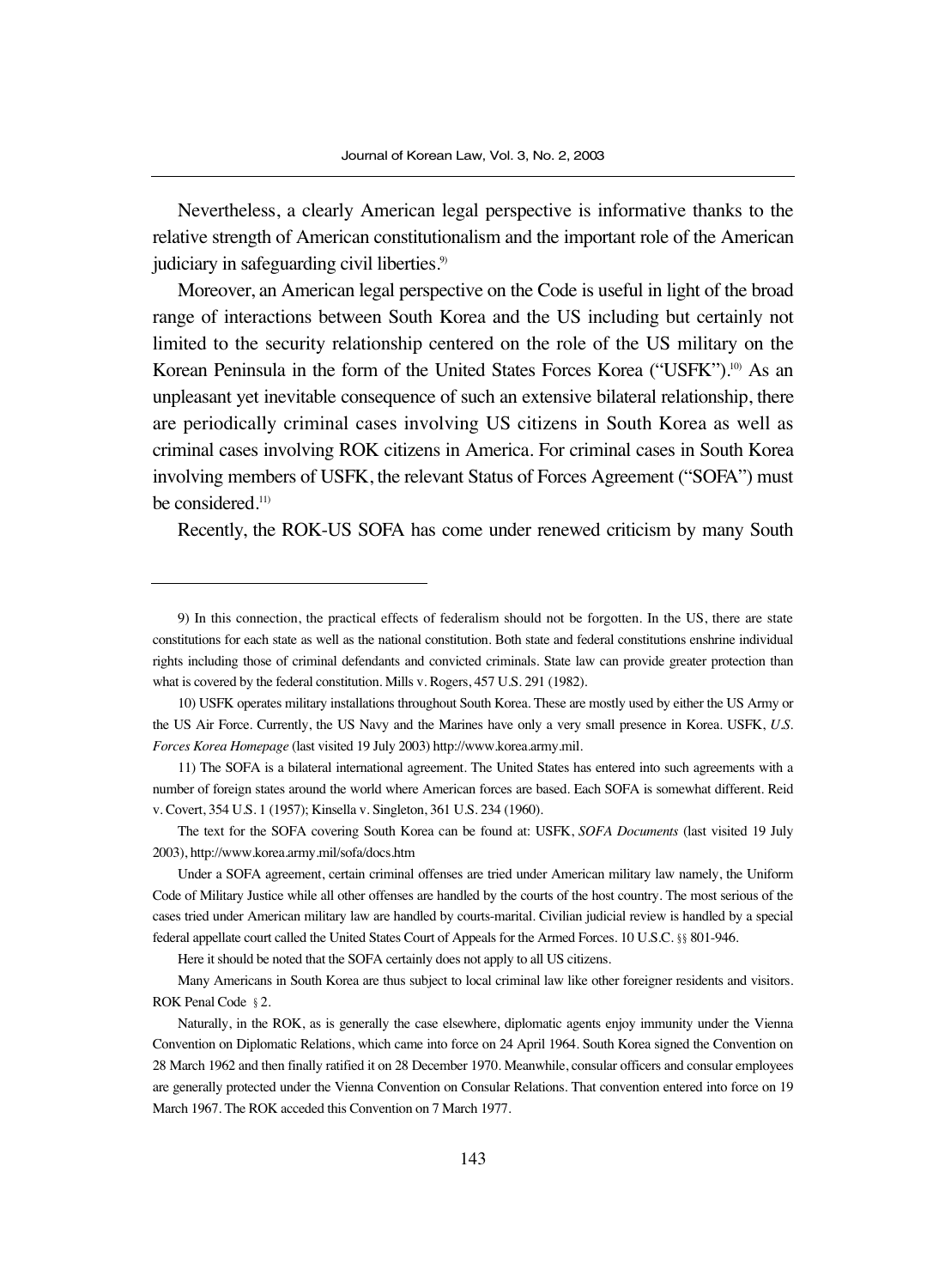Nevertheless, a clearly American legal perspective is informative thanks to the relative strength of American constitutionalism and the important role of the American judiciary in safeguarding civil liberties.<sup>9)</sup>

Moreover, an American legal perspective on the Code is useful in light of the broad range of interactions between South Korea and the US including but certainly not limited to the security relationship centered on the role of the US military on the Korean Peninsula in the form of the United States Forces Korea ("USFK").<sup>10</sup> As an unpleasant yet inevitable consequence of such an extensive bilateral relationship, there are periodically criminal cases involving US citizens in South Korea as well as criminal cases involving ROK citizens in America. For criminal cases in South Korea involving members of USFK, the relevant Status of Forces Agreement ("SOFA") must be considered.<sup>11)</sup>

Recently, the ROK-US SOFA has come under renewed criticism by many South

Here it should be noted that the SOFA certainly does not apply to all US citizens.

Many Americans in South Korea are thus subject to local criminal law like other foreigner residents and visitors. ROK Penal Code §2.

<sup>9)</sup> In this connection, the practical effects of federalism should not be forgotten. In the US, there are state constitutions for each state as well as the national constitution. Both state and federal constitutions enshrine individual rights including those of criminal defendants and convicted criminals. State law can provide greater protection than what is covered by the federal constitution. Mills v. Rogers, 457 U.S. 291 (1982).

<sup>10)</sup> USFK operates military installations throughout South Korea. These are mostly used by either the US Army or the US Air Force. Currently, the US Navy and the Marines have only a very small presence in Korea. USFK, *U.S. Forces Korea Homepage* (last visited 19 July 2003) http://www.korea.army.mil.

<sup>11)</sup> The SOFA is a bilateral international agreement. The United States has entered into such agreements with a number of foreign states around the world where American forces are based. Each SOFA is somewhat different. Reid v. Covert, 354 U.S. 1 (1957); Kinsella v. Singleton, 361 U.S. 234 (1960).

The text for the SOFA covering South Korea can be found at: USFK, *SOFA Documents* (last visited 19 July 2003), http://www.korea.army.mil/sofa/docs.htm

Under a SOFA agreement, certain criminal offenses are tried under American military law namely, the Uniform Code of Military Justice while all other offenses are handled by the courts of the host country. The most serious of the cases tried under American military law are handled by courts-marital. Civilian judicial review is handled by a special federal appellate court called the United States Court of Appeals for the Armed Forces. 10 U.S.C. §§801-946.

Naturally, in the ROK, as is generally the case elsewhere, diplomatic agents enjoy immunity under the Vienna Convention on Diplomatic Relations, which came into force on 24 April 1964. South Korea signed the Convention on 28 March 1962 and then finally ratified it on 28 December 1970. Meanwhile, consular officers and consular employees are generally protected under the Vienna Convention on Consular Relations. That convention entered into force on 19 March 1967. The ROK acceded this Convention on 7 March 1977.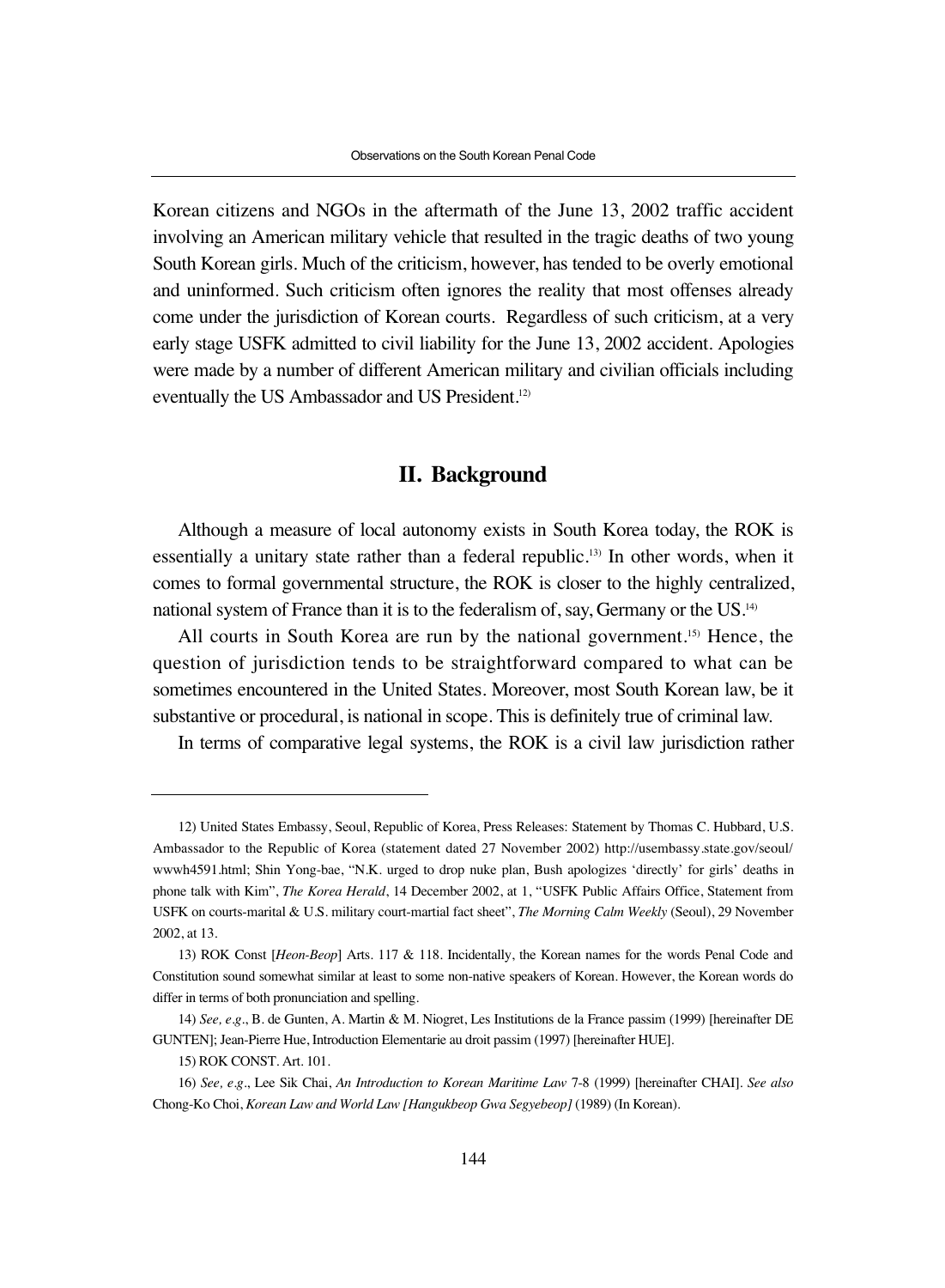Korean citizens and NGOs in the aftermath of the June 13, 2002 traffic accident involving an American military vehicle that resulted in the tragic deaths of two young South Korean girls. Much of the criticism, however, has tended to be overly emotional and uninformed. Such criticism often ignores the reality that most offenses already come under the jurisdiction of Korean courts. Regardless of such criticism, at a very early stage USFK admitted to civil liability for the June 13, 2002 accident. Apologies were made by a number of different American military and civilian officials including eventually the US Ambassador and US President.12)

## **II. Background**

Although a measure of local autonomy exists in South Korea today, the ROK is essentially a unitary state rather than a federal republic.<sup>13)</sup> In other words, when it comes to formal governmental structure, the ROK is closer to the highly centralized, national system of France than it is to the federalism of, say, Germany or the US.14)

All courts in South Korea are run by the national government.<sup>15)</sup> Hence, the question of jurisdiction tends to be straightforward compared to what can be sometimes encountered in the United States. Moreover, most South Korean law, be it substantive or procedural, is national in scope. This is definitely true of criminal law.

In terms of comparative legal systems, the ROK is a civil law jurisdiction rather

<sup>12)</sup> United States Embassy, Seoul, Republic of Korea, Press Releases: Statement by Thomas C. Hubbard, U.S. Ambassador to the Republic of Korea (statement dated 27 November 2002) http://usembassy.state.gov/seoul/ wwwh4591.html; Shin Yong-bae, "N.K. urged to drop nuke plan, Bush apologizes 'directly' for girls' deaths in phone talk with Kim", *The Korea Herald*, 14 December 2002, at 1, "USFK Public Affairs Office, Statement from USFK on courts-marital & U.S. military court-martial fact sheet", *The Morning Calm Weekly* (Seoul), 29 November 2002, at 13.

<sup>13)</sup> ROK Const [*Heon-Beop*] Arts. 117 & 118. Incidentally, the Korean names for the words Penal Code and Constitution sound somewhat similar at least to some non-native speakers of Korean. However, the Korean words do differ in terms of both pronunciation and spelling.

<sup>14)</sup> *See, e.g*., B. de Gunten, A. Martin & M. Niogret, Les Institutions de la France passim (1999) [hereinafter DE GUNTEN]; Jean-Pierre Hue, Introduction Elementarie au droit passim (1997) [hereinafter HUE].

<sup>15)</sup> ROK CONST. Art. 101.

<sup>16)</sup> *See, e.g*., Lee Sik Chai, *An Introduction to Korean Maritime Law* 7-8 (1999) [hereinafter CHAI]. *See also* Chong-Ko Choi, *Korean Law and World Law [Hangukbeop Gwa Segyebeop]* (1989) (In Korean).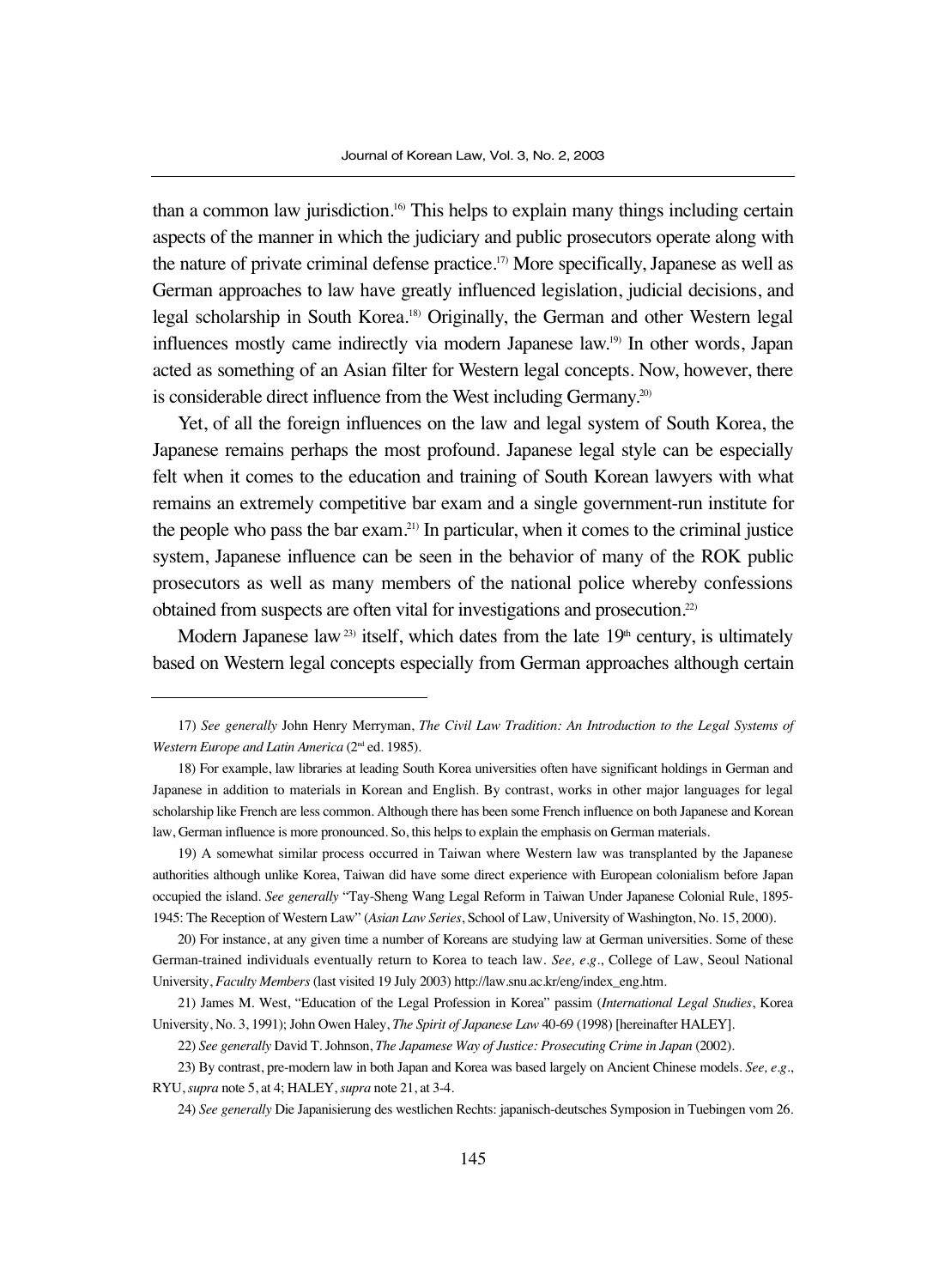than a common law jurisdiction.16) This helps to explain many things including certain aspects of the manner in which the judiciary and public prosecutors operate along with the nature of private criminal defense practice.17) More specifically, Japanese as well as German approaches to law have greatly influenced legislation, judicial decisions, and legal scholarship in South Korea.<sup>18)</sup> Originally, the German and other Western legal influences mostly came indirectly via modern Japanese law.19) In other words, Japan acted as something of an Asian filter for Western legal concepts. Now, however, there is considerable direct influence from the West including Germany.<sup>20)</sup>

Yet, of all the foreign influences on the law and legal system of South Korea, the Japanese remains perhaps the most profound. Japanese legal style can be especially felt when it comes to the education and training of South Korean lawyers with what remains an extremely competitive bar exam and a single government-run institute for the people who pass the bar exam.21) In particular, when it comes to the criminal justice system, Japanese influence can be seen in the behavior of many of the ROK public prosecutors as well as many members of the national police whereby confessions obtained from suspects are often vital for investigations and prosecution.22)

Modern Japanese law<sup>23)</sup> itself, which dates from the late  $19<sup>th</sup>$  century, is ultimately based on Western legal concepts especially from German approaches although certain

<sup>17)</sup> *See generally* John Henry Merryman, *The Civil Law Tradition: An Introduction to the Legal Systems of Western Europe and Latin America* (2nd ed. 1985).

<sup>18)</sup> For example, law libraries at leading South Korea universities often have significant holdings in German and Japanese in addition to materials in Korean and English. By contrast, works in other major languages for legal scholarship like French are less common. Although there has been some French influence on both Japanese and Korean law, German influence is more pronounced. So, this helps to explain the emphasis on German materials.

<sup>19)</sup> A somewhat similar process occurred in Taiwan where Western law was transplanted by the Japanese authorities although unlike Korea, Taiwan did have some direct experience with European colonialism before Japan occupied the island. *See generally* "Tay-Sheng Wang Legal Reform in Taiwan Under Japanese Colonial Rule, 1895- 1945: The Reception of Western Law" (*Asian Law Series*, School of Law, University of Washington, No. 15, 2000).

<sup>20)</sup> For instance, at any given time a number of Koreans are studying law at German universities. Some of these German-trained individuals eventually return to Korea to teach law. *See, e.g*., College of Law, Seoul National University, *Faculty Members* (last visited 19 July 2003) http://law.snu.ac.kr/eng/index\_eng.htm.

<sup>21)</sup> James M. West, "Education of the Legal Profession in Korea" passim (*International Legal Studies*, Korea University, No. 3, 1991); John Owen Haley, *The Spirit of Japanese Law* 40-69 (1998) [hereinafter HALEY].

<sup>22)</sup> *See generally* David T. Johnson, *The Japamese Way of Justice: Prosecuting Crime in Japan* (2002).

<sup>23)</sup> By contrast, pre-modern law in both Japan and Korea was based largely on Ancient Chinese models. *See, e.g*., RYU, *supra* note 5, at 4; HALEY, *supra* note 21, at 3-4.

<sup>24)</sup> *See generally* Die Japanisierung des westlichen Rechts: japanisch-deutsches Symposion in Tuebingen vom 26.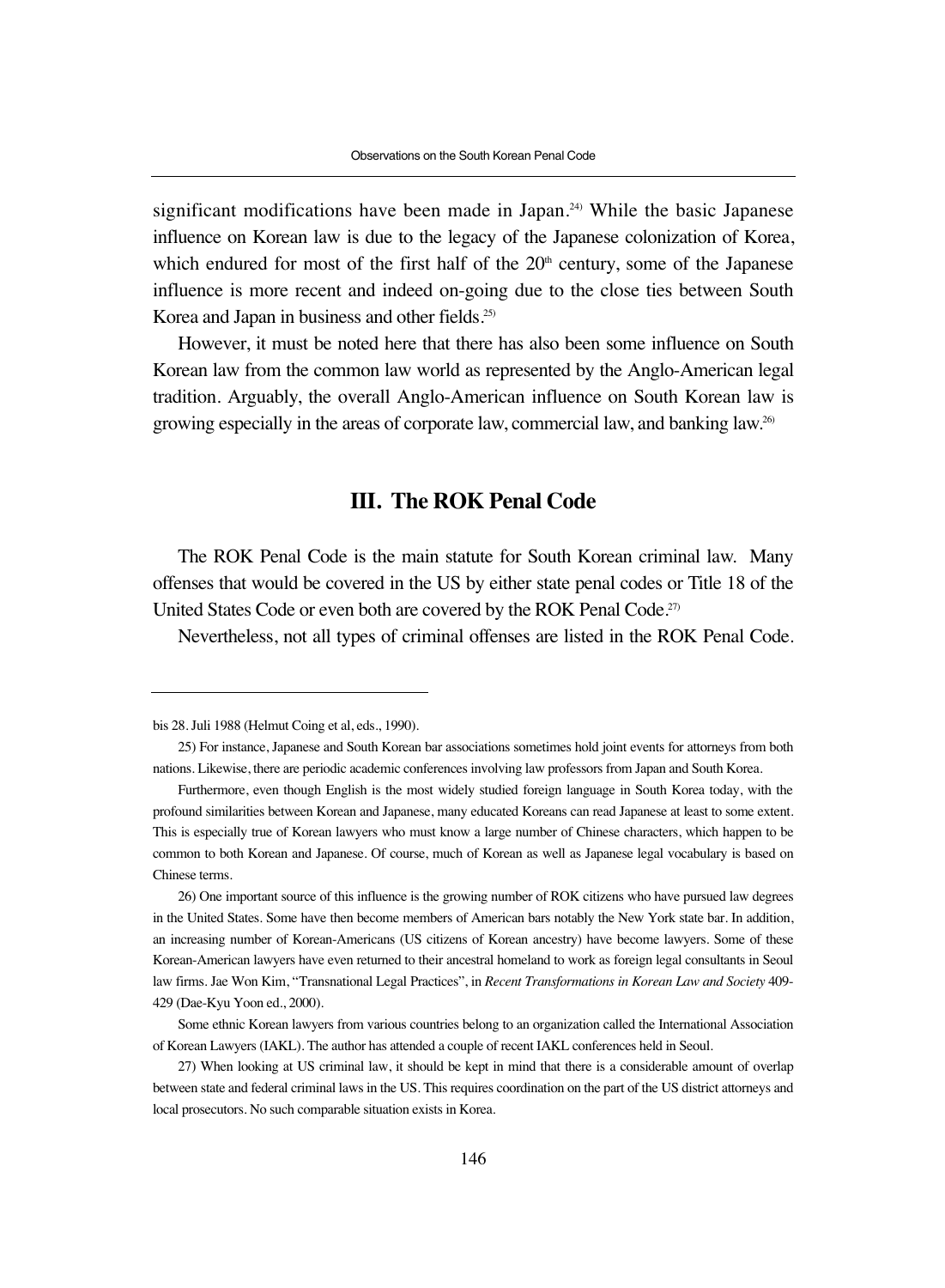significant modifications have been made in Japan.<sup>24)</sup> While the basic Japanese influence on Korean law is due to the legacy of the Japanese colonization of Korea, which endured for most of the first half of the  $20<sup>th</sup>$  century, some of the Japanese influence is more recent and indeed on-going due to the close ties between South Korea and Japan in business and other fields.25)

However, it must be noted here that there has also been some influence on South Korean law from the common law world as represented by the Anglo-American legal tradition. Arguably, the overall Anglo-American influence on South Korean law is growing especially in the areas of corporate law, commercial law, and banking law.26)

## **III. The ROK Penal Code**

The ROK Penal Code is the main statute for South Korean criminal law. Many offenses that would be covered in the US by either state penal codes or Title 18 of the United States Code or even both are covered by the ROK Penal Code.<sup>27)</sup>

Nevertheless, not all types of criminal offenses are listed in the ROK Penal Code.

bis 28. Juli 1988 (Helmut Coing et al, eds., 1990).

<sup>25)</sup> For instance, Japanese and South Korean bar associations sometimes hold joint events for attorneys from both nations. Likewise, there are periodic academic conferences involving law professors from Japan and South Korea.

Furthermore, even though English is the most widely studied foreign language in South Korea today, with the profound similarities between Korean and Japanese, many educated Koreans can read Japanese at least to some extent. This is especially true of Korean lawyers who must know a large number of Chinese characters, which happen to be common to both Korean and Japanese. Of course, much of Korean as well as Japanese legal vocabulary is based on Chinese terms.

<sup>26)</sup> One important source of this influence is the growing number of ROK citizens who have pursued law degrees in the United States. Some have then become members of American bars notably the New York state bar. In addition, an increasing number of Korean-Americans (US citizens of Korean ancestry) have become lawyers. Some of these Korean-American lawyers have even returned to their ancestral homeland to work as foreign legal consultants in Seoul law firms. Jae Won Kim, "Transnational Legal Practices", in *Recent Transformations in Korean Law and Society* 409- 429 (Dae-Kyu Yoon ed., 2000).

Some ethnic Korean lawyers from various countries belong to an organization called the International Association of Korean Lawyers (IAKL). The author has attended a couple of recent IAKL conferences held in Seoul.

<sup>27)</sup> When looking at US criminal law, it should be kept in mind that there is a considerable amount of overlap between state and federal criminal laws in the US. This requires coordination on the part of the US district attorneys and local prosecutors. No such comparable situation exists in Korea.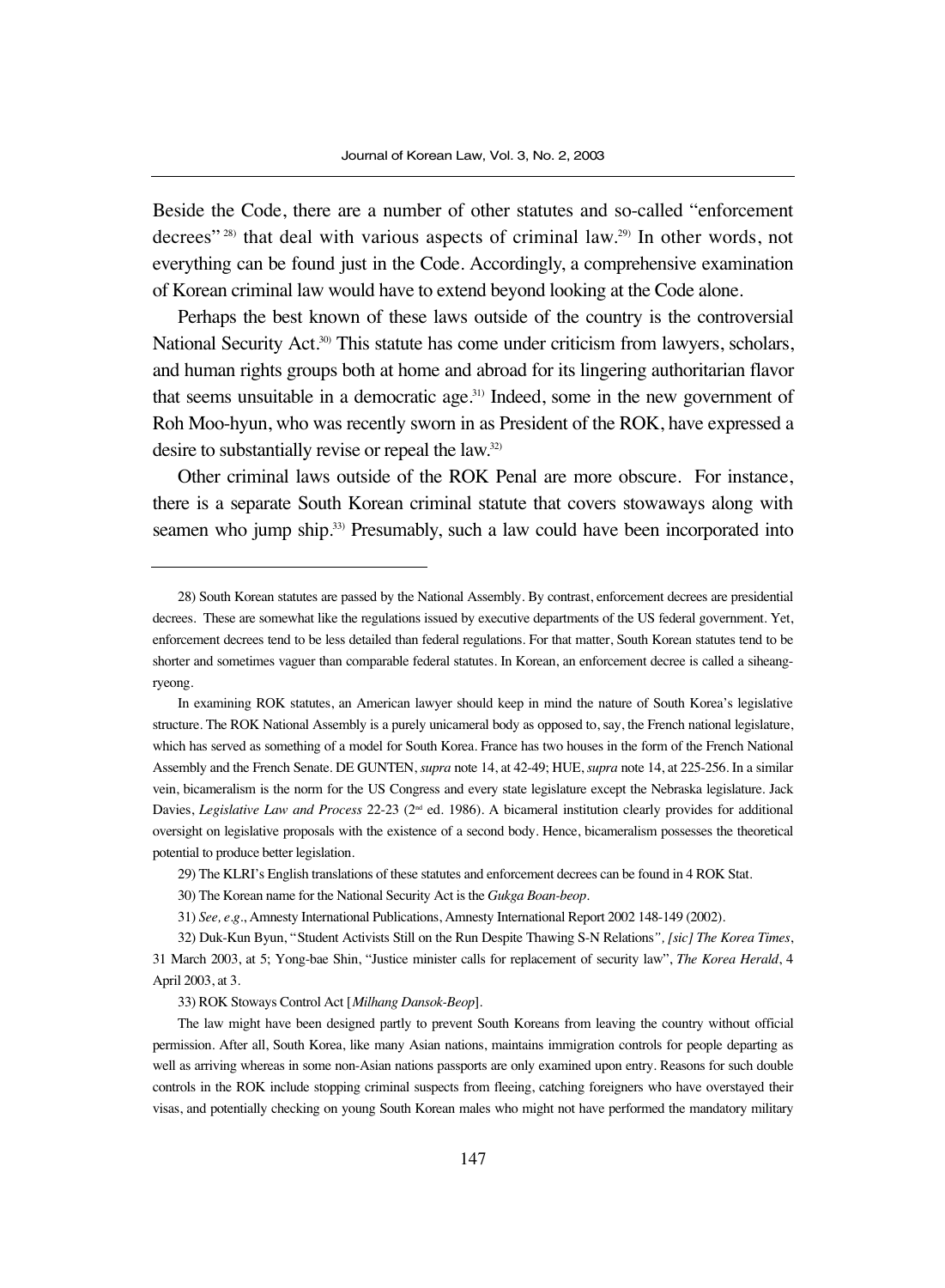Beside the Code, there are a number of other statutes and so-called "enforcement decrees" 28) that deal with various aspects of criminal law.29) In other words, not everything can be found just in the Code. Accordingly, a comprehensive examination of Korean criminal law would have to extend beyond looking at the Code alone.

Perhaps the best known of these laws outside of the country is the controversial National Security Act.<sup>30</sup> This statute has come under criticism from lawyers, scholars, and human rights groups both at home and abroad for its lingering authoritarian flavor that seems unsuitable in a democratic age. $31$  Indeed, some in the new government of Roh Moo-hyun, who was recently sworn in as President of the ROK, have expressed a desire to substantially revise or repeal the law.32)

Other criminal laws outside of the ROK Penal are more obscure. For instance, there is a separate South Korean criminal statute that covers stowaways along with seamen who jump ship.<sup>33)</sup> Presumably, such a law could have been incorporated into

<sup>28)</sup> South Korean statutes are passed by the National Assembly. By contrast, enforcement decrees are presidential decrees. These are somewhat like the regulations issued by executive departments of the US federal government. Yet, enforcement decrees tend to be less detailed than federal regulations. For that matter, South Korean statutes tend to be shorter and sometimes vaguer than comparable federal statutes. In Korean, an enforcement decree is called a siheangryeong.

In examining ROK statutes, an American lawyer should keep in mind the nature of South Korea's legislative structure. The ROK National Assembly is a purely unicameral body as opposed to, say, the French national legislature, which has served as something of a model for South Korea. France has two houses in the form of the French National Assembly and the French Senate. DE GUNTEN, *supra* note 14, at 42-49; HUE, *supra* note 14, at 225-256. In a similar vein, bicameralism is the norm for the US Congress and every state legislature except the Nebraska legislature. Jack Davies, *Legislative Law and Process* 22-23 (2<sup>nd</sup> ed. 1986). A bicameral institution clearly provides for additional oversight on legislative proposals with the existence of a second body. Hence, bicameralism possesses the theoretical potential to produce better legislation.

<sup>29)</sup> The KLRI's English translations of these statutes and enforcement decrees can be found in 4 ROK Stat.

<sup>30)</sup> The Korean name for the National Security Act is the *Gukga Boan-beop*.

<sup>31)</sup> *See, e.g*., Amnesty International Publications, Amnesty International Report 2002 148-149 (2002).

<sup>32)</sup> Duk-Kun Byun, "Student Activists Still on the Run Despite Thawing S-N Relations*", [sic] The Korea Times*, 31 March 2003, at 5; Yong-bae Shin, "Justice minister calls for replacement of security law", *The Korea Herald*, 4 April 2003, at 3.

<sup>33)</sup> ROK Stoways Control Act [*Milhang Dansok-Beop*].

The law might have been designed partly to prevent South Koreans from leaving the country without official permission. After all, South Korea, like many Asian nations, maintains immigration controls for people departing as well as arriving whereas in some non-Asian nations passports are only examined upon entry. Reasons for such double controls in the ROK include stopping criminal suspects from fleeing, catching foreigners who have overstayed their visas, and potentially checking on young South Korean males who might not have performed the mandatory military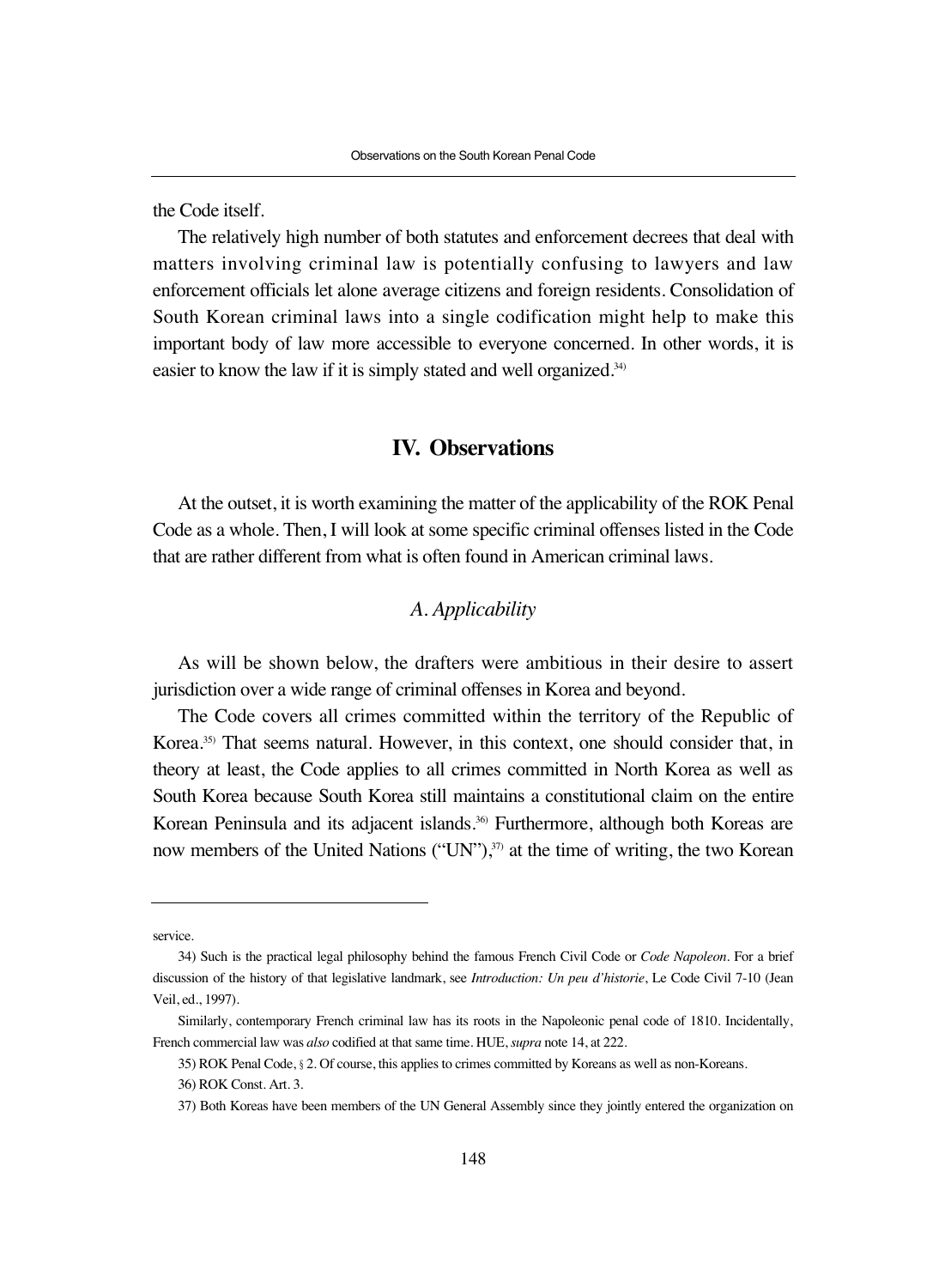the Code itself.

The relatively high number of both statutes and enforcement decrees that deal with matters involving criminal law is potentially confusing to lawyers and law enforcement officials let alone average citizens and foreign residents. Consolidation of South Korean criminal laws into a single codification might help to make this important body of law more accessible to everyone concerned. In other words, it is easier to know the law if it is simply stated and well organized.<sup>34)</sup>

## **IV. Observations**

At the outset, it is worth examining the matter of the applicability of the ROK Penal Code as a whole. Then, I will look at some specific criminal offenses listed in the Code that are rather different from what is often found in American criminal laws.

#### *A. Applicability*

As will be shown below, the drafters were ambitious in their desire to assert jurisdiction over a wide range of criminal offenses in Korea and beyond.

The Code covers all crimes committed within the territory of the Republic of Korea.35) That seems natural. However, in this context, one should consider that, in theory at least, the Code applies to all crimes committed in North Korea as well as South Korea because South Korea still maintains a constitutional claim on the entire Korean Peninsula and its adjacent islands.<sup>36)</sup> Furthermore, although both Koreas are now members of the United Nations ("UN"),<sup>37)</sup> at the time of writing, the two Korean

service.

<sup>34)</sup> Such is the practical legal philosophy behind the famous French Civil Code or *Code Napoleon*. For a brief discussion of the history of that legislative landmark, see *Introduction: Un peu d'historie*, Le Code Civil 7-10 (Jean Veil, ed., 1997).

Similarly, contemporary French criminal law has its roots in the Napoleonic penal code of 1810. Incidentally, French commercial law was *also* codified at that same time. HUE, *supra* note 14, at 222.

<sup>35)</sup> ROK Penal Code, §2. Of course, this applies to crimes committed by Koreans as well as non-Koreans.

<sup>36)</sup> ROK Const. Art. 3.

<sup>37)</sup> Both Koreas have been members of the UN General Assembly since they jointly entered the organization on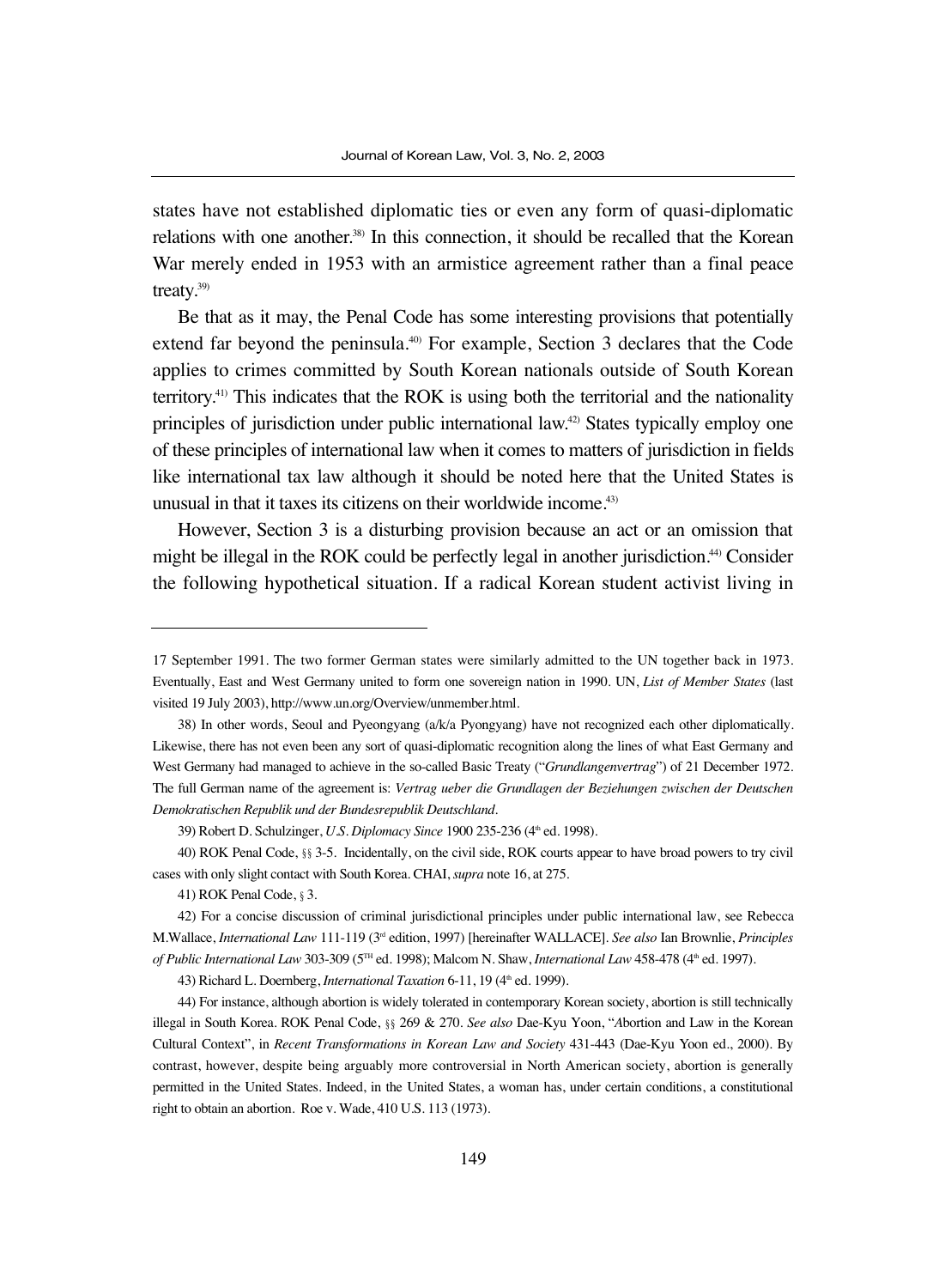states have not established diplomatic ties or even any form of quasi-diplomatic relations with one another.38) In this connection, it should be recalled that the Korean War merely ended in 1953 with an armistice agreement rather than a final peace treaty.39)

Be that as it may, the Penal Code has some interesting provisions that potentially extend far beyond the peninsula.<sup>40</sup> For example, Section 3 declares that the Code applies to crimes committed by South Korean nationals outside of South Korean territory.41) This indicates that the ROK is using both the territorial and the nationality principles of jurisdiction under public international law.<sup>42)</sup> States typically employ one of these principles of international law when it comes to matters of jurisdiction in fields like international tax law although it should be noted here that the United States is unusual in that it taxes its citizens on their worldwide income.43)

However, Section 3 is a disturbing provision because an act or an omission that might be illegal in the ROK could be perfectly legal in another jurisdiction.44) Consider the following hypothetical situation. If a radical Korean student activist living in

41) ROK Penal Code, §3.

43) Richard L. Doernberg, *International Taxation* 6-11, 19 (4th ed. 1999).

<sup>17</sup> September 1991. The two former German states were similarly admitted to the UN together back in 1973. Eventually, East and West Germany united to form one sovereign nation in 1990. UN, *List of Member States* (last visited 19 July 2003), http://www.un.org/Overview/unmember.html.

<sup>38)</sup> In other words, Seoul and Pyeongyang (a/k/a Pyongyang) have not recognized each other diplomatically. Likewise, there has not even been any sort of quasi-diplomatic recognition along the lines of what East Germany and West Germany had managed to achieve in the so-called Basic Treaty ("*Grundlangenvertrag*") of 21 December 1972. The full German name of the agreement is: *Vertrag ueber die Grundlagen der Beziehungen zwischen der Deutschen Demokratischen Republik und der Bundesrepublik Deutschland*.

<sup>39)</sup> Robert D. Schulzinger, *U.S. Diplomacy Since* 1900 235-236 (4<sup>th</sup> ed. 1998).

<sup>40)</sup> ROK Penal Code, §§3-5. Incidentally, on the civil side, ROK courts appear to have broad powers to try civil cases with only slight contact with South Korea. CHAI, *supra* note 16, at 275.

<sup>42)</sup> For a concise discussion of criminal jurisdictional principles under public international law, see Rebecca M.Wallace, *International Law* 111-119 (3rd edition, 1997) [hereinafter WALLACE]. *See also* Ian Brownlie, *Principles of Public International Law* 303-309 (5TH ed. 1998); Malcom N. Shaw, *International Law* 458-478 (4th ed. 1997).

<sup>44)</sup> For instance, although abortion is widely tolerated in contemporary Korean society, abortion is still technically illegal in South Korea. ROK Penal Code, §§269 & 270. *See also* Dae-Kyu Yoon, "*A*bortion and Law in the Korean Cultural Context", in *Recent Transformations in Korean Law and Society* 431-443 (Dae-Kyu Yoon ed., 2000). By contrast, however, despite being arguably more controversial in North American society, abortion is generally permitted in the United States. Indeed, in the United States, a woman has, under certain conditions, a constitutional right to obtain an abortion. Roe v. Wade, 410 U.S. 113 (1973).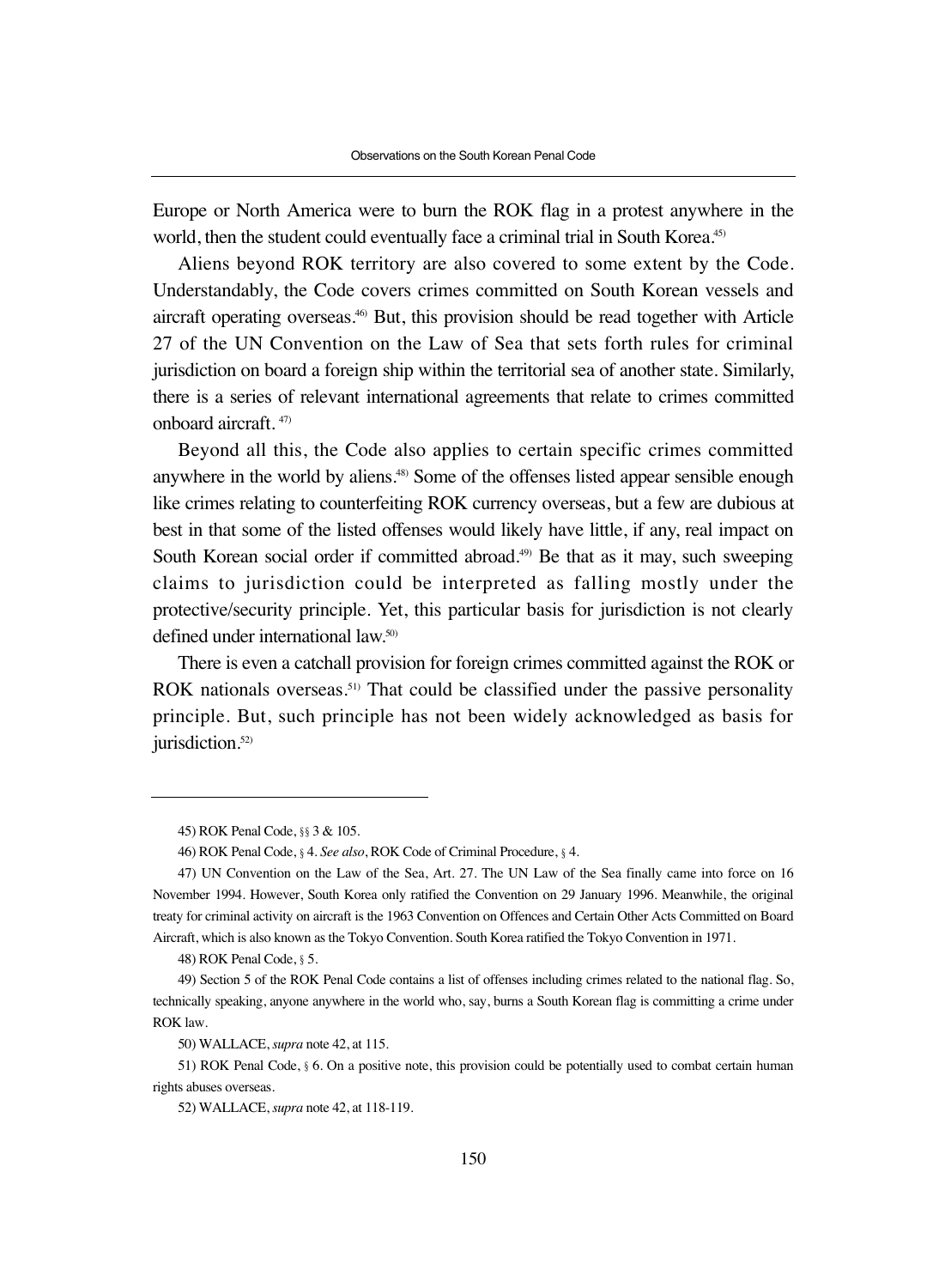Europe or North America were to burn the ROK flag in a protest anywhere in the world, then the student could eventually face a criminal trial in South Korea.<sup>45)</sup>

Aliens beyond ROK territory are also covered to some extent by the Code. Understandably, the Code covers crimes committed on South Korean vessels and aircraft operating overseas.46) But, this provision should be read together with Article 27 of the UN Convention on the Law of Sea that sets forth rules for criminal jurisdiction on board a foreign ship within the territorial sea of another state. Similarly, there is a series of relevant international agreements that relate to crimes committed onboard aircraft. 47)

Beyond all this, the Code also applies to certain specific crimes committed anywhere in the world by aliens.48) Some of the offenses listed appear sensible enough like crimes relating to counterfeiting ROK currency overseas, but a few are dubious at best in that some of the listed offenses would likely have little, if any, real impact on South Korean social order if committed abroad.<sup>49)</sup> Be that as it may, such sweeping claims to jurisdiction could be interpreted as falling mostly under the protective/security principle. Yet, this particular basis for jurisdiction is not clearly defined under international law.<sup>50)</sup>

There is even a catchall provision for foreign crimes committed against the ROK or ROK nationals overseas.<sup>51)</sup> That could be classified under the passive personality principle. But, such principle has not been widely acknowledged as basis for jurisdiction.<sup>52)</sup>

48) ROK Penal Code, §5.

<sup>45)</sup> ROK Penal Code, §§3 & 105.

<sup>46)</sup> ROK Penal Code, §4. *See also*, ROK Code of Criminal Procedure, §4.

<sup>47)</sup> UN Convention on the Law of the Sea, Art. 27. The UN Law of the Sea finally came into force on 16 November 1994. However, South Korea only ratified the Convention on 29 January 1996. Meanwhile, the original treaty for criminal activity on aircraft is the 1963 Convention on Offences and Certain Other Acts Committed on Board Aircraft, which is also known as the Tokyo Convention. South Korea ratified the Tokyo Convention in 1971.

<sup>49)</sup> Section 5 of the ROK Penal Code contains a list of offenses including crimes related to the national flag. So, technically speaking, anyone anywhere in the world who, say, burns a South Korean flag is committing a crime under ROK law.

<sup>50)</sup> WALLACE, *supra* note 42, at 115.

<sup>51)</sup> ROK Penal Code, §6. On a positive note, this provision could be potentially used to combat certain human rights abuses overseas.

<sup>52)</sup> WALLACE, *supra* note 42, at 118-119.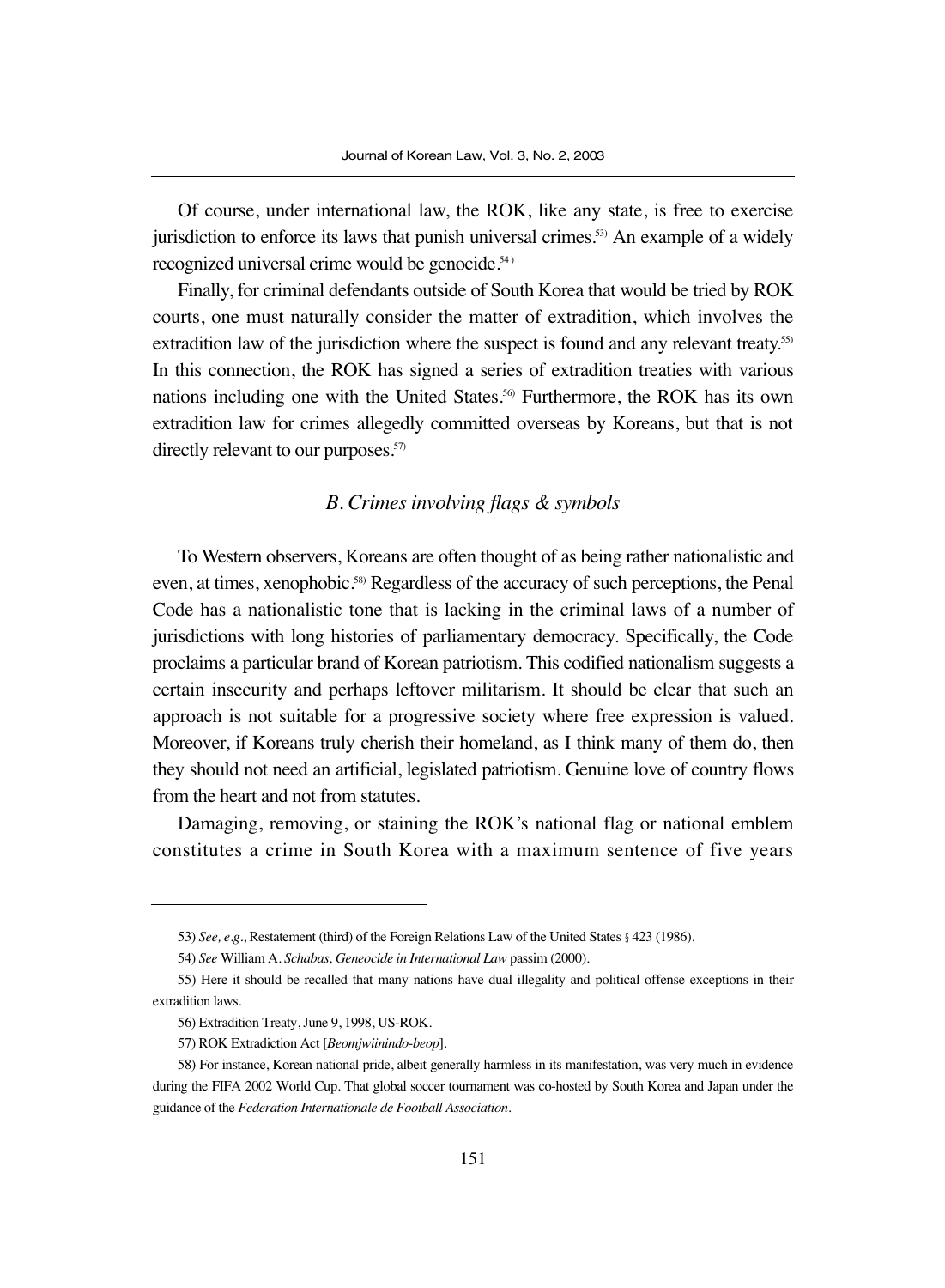Of course, under international law, the ROK, like any state, is free to exercise jurisdiction to enforce its laws that punish universal crimes.<sup>53</sup> An example of a widely recognized universal crime would be genocide.<sup>54)</sup>

Finally, for criminal defendants outside of South Korea that would be tried by ROK courts, one must naturally consider the matter of extradition, which involves the extradition law of the jurisdiction where the suspect is found and any relevant treaty.<sup>55)</sup> In this connection, the ROK has signed a series of extradition treaties with various nations including one with the United States.56) Furthermore, the ROK has its own extradition law for crimes allegedly committed overseas by Koreans, but that is not directly relevant to our purposes.<sup>57)</sup>

## *B. Crimes involving flags & symbols*

To Western observers, Koreans are often thought of as being rather nationalistic and even, at times, xenophobic.58) Regardless of the accuracy of such perceptions, the Penal Code has a nationalistic tone that is lacking in the criminal laws of a number of jurisdictions with long histories of parliamentary democracy. Specifically, the Code proclaims a particular brand of Korean patriotism. This codified nationalism suggests a certain insecurity and perhaps leftover militarism. It should be clear that such an approach is not suitable for a progressive society where free expression is valued. Moreover, if Koreans truly cherish their homeland, as I think many of them do, then they should not need an artificial, legislated patriotism. Genuine love of country flows from the heart and not from statutes.

Damaging, removing, or staining the ROK's national flag or national emblem constitutes a crime in South Korea with a maximum sentence of five years

<sup>53)</sup> *See, e.g*., Restatement (third) of the Foreign Relations Law of the United States §423 (1986).

<sup>54)</sup> *See* William A. *Schabas, Geneocide in International Law* passim (2000).

<sup>55)</sup> Here it should be recalled that many nations have dual illegality and political offense exceptions in their extradition laws.

<sup>56)</sup> Extradition Treaty, June 9, 1998, US-ROK.

<sup>57)</sup> ROK Extradiction Act [*Beomjwiinindo-beop*].

<sup>58)</sup> For instance, Korean national pride, albeit generally harmless in its manifestation, was very much in evidence during the FIFA 2002 World Cup. That global soccer tournament was co-hosted by South Korea and Japan under the guidance of the *Federation Internationale de Football Association*.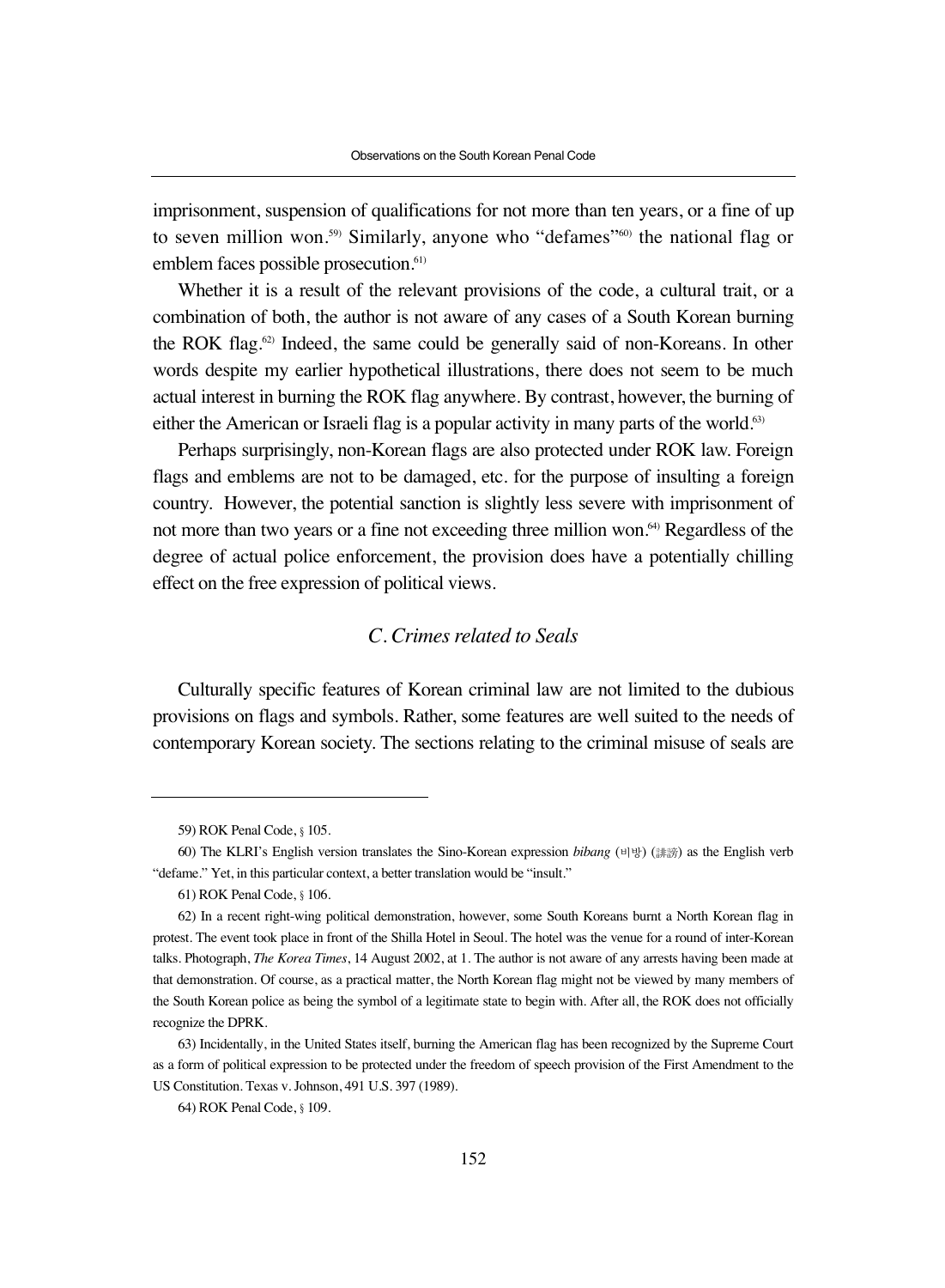imprisonment, suspension of qualifications for not more than ten years, or a fine of up to seven million won.59) Similarly, anyone who "defames"60) the national flag or emblem faces possible prosecution.<sup>61)</sup>

Whether it is a result of the relevant provisions of the code, a cultural trait, or a combination of both, the author is not aware of any cases of a South Korean burning the ROK flag. $62$  Indeed, the same could be generally said of non-Koreans. In other words despite my earlier hypothetical illustrations, there does not seem to be much actual interest in burning the ROK flag anywhere. By contrast, however, the burning of either the American or Israeli flag is a popular activity in many parts of the world.<sup>63)</sup>

Perhaps surprisingly, non-Korean flags are also protected under ROK law. Foreign flags and emblems are not to be damaged, etc. for the purpose of insulting a foreign country. However, the potential sanction is slightly less severe with imprisonment of not more than two years or a fine not exceeding three million won.<sup>64)</sup> Regardless of the degree of actual police enforcement, the provision does have a potentially chilling effect on the free expression of political views.

# *C. Crimes related to Seals*

Culturally specific features of Korean criminal law are not limited to the dubious provisions on flags and symbols. Rather, some features are well suited to the needs of contemporary Korean society. The sections relating to the criminal misuse of seals are

<sup>59)</sup> ROK Penal Code, §105.

<sup>60)</sup> The KLRI's English version translates the Sino-Korean expression *bibang* (비방) (誹謗) as the English verb "defame." Yet, in this particular context, a better translation would be "insult."

<sup>61)</sup> ROK Penal Code, §106.

<sup>62)</sup> In a recent right-wing political demonstration, however, some South Koreans burnt a North Korean flag in protest. The event took place in front of the Shilla Hotel in Seoul. The hotel was the venue for a round of inter-Korean talks. Photograph, *The Korea Times*, 14 August 2002, at 1. The author is not aware of any arrests having been made at that demonstration. Of course, as a practical matter, the North Korean flag might not be viewed by many members of the South Korean police as being the symbol of a legitimate state to begin with. After all, the ROK does not officially recognize the DPRK.

<sup>63)</sup> Incidentally, in the United States itself, burning the American flag has been recognized by the Supreme Court as a form of political expression to be protected under the freedom of speech provision of the First Amendment to the US Constitution. Texas v. Johnson, 491 U.S. 397 (1989).

<sup>64)</sup> ROK Penal Code, §109.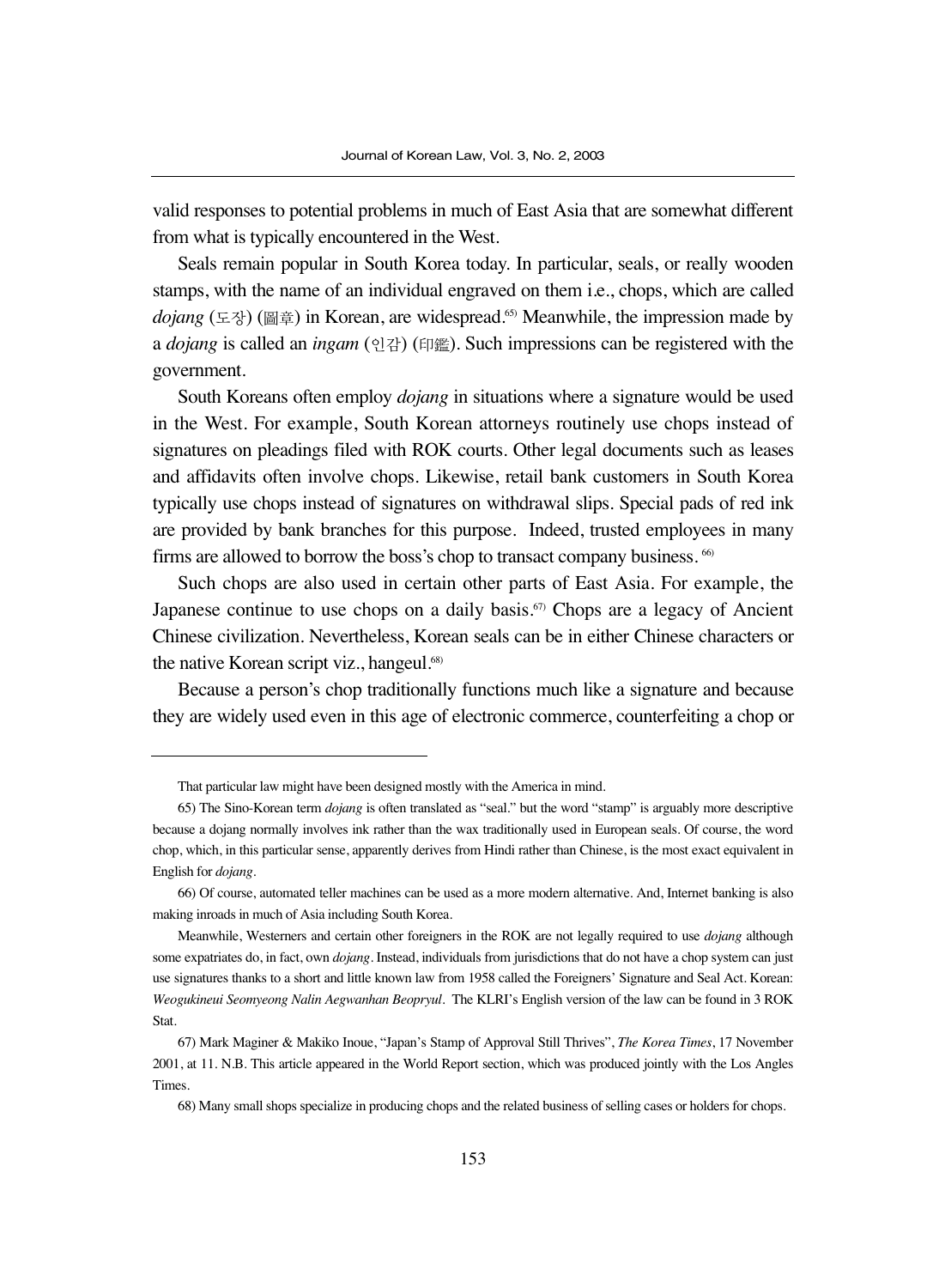valid responses to potential problems in much of East Asia that are somewhat different from what is typically encountered in the West.

Seals remain popular in South Korea today. In particular, seals, or really wooden stamps, with the name of an individual engraved on them i.e., chops, which are called *dojang* (도장) (圖章) in Korean, are widespread.65) Meanwhile, the impression made by a *dojang* is called an *ingam* (인감) (印鑑). Such impressions can be registered with the government.

South Koreans often employ *dojang* in situations where a signature would be used in the West. For example, South Korean attorneys routinely use chops instead of signatures on pleadings filed with ROK courts. Other legal documents such as leases and affidavits often involve chops. Likewise, retail bank customers in South Korea typically use chops instead of signatures on withdrawal slips. Special pads of red ink are provided by bank branches for this purpose. Indeed, trusted employees in many firms are allowed to borrow the boss's chop to transact company business.  $66$ 

Such chops are also used in certain other parts of East Asia. For example, the Japanese continue to use chops on a daily basis.<sup> $57$ </sup> Chops are a legacy of Ancient Chinese civilization. Nevertheless, Korean seals can be in either Chinese characters or the native Korean script viz., hangeul.<sup>68)</sup>

Because a person's chop traditionally functions much like a signature and because they are widely used even in this age of electronic commerce, counterfeiting a chop or

That particular law might have been designed mostly with the America in mind.

<sup>65)</sup> The Sino-Korean term *dojang* is often translated as "seal." but the word "stamp" is arguably more descriptive because a dojang normally involves ink rather than the wax traditionally used in European seals. Of course, the word chop, which, in this particular sense, apparently derives from Hindi rather than Chinese, is the most exact equivalent in English for *dojang*.

<sup>66)</sup> Of course, automated teller machines can be used as a more modern alternative. And, Internet banking is also making inroads in much of Asia including South Korea.

Meanwhile, Westerners and certain other foreigners in the ROK are not legally required to use *dojang* although some expatriates do, in fact, own *dojang*. Instead, individuals from jurisdictions that do not have a chop system can just use signatures thanks to a short and little known law from 1958 called the Foreigners' Signature and Seal Act. Korean: *Weogukineui Seomyeong Nalin Aegwanhan Beopryul*. The KLRI's English version of the law can be found in 3 ROK Stat.

<sup>67)</sup> Mark Maginer & Makiko Inoue, "Japan's Stamp of Approval Still Thrives", *The Korea Times*, 17 November 2001, at 11. N.B. This article appeared in the World Report section, which was produced jointly with the Los Angles Times.

<sup>68)</sup> Many small shops specialize in producing chops and the related business of selling cases or holders for chops.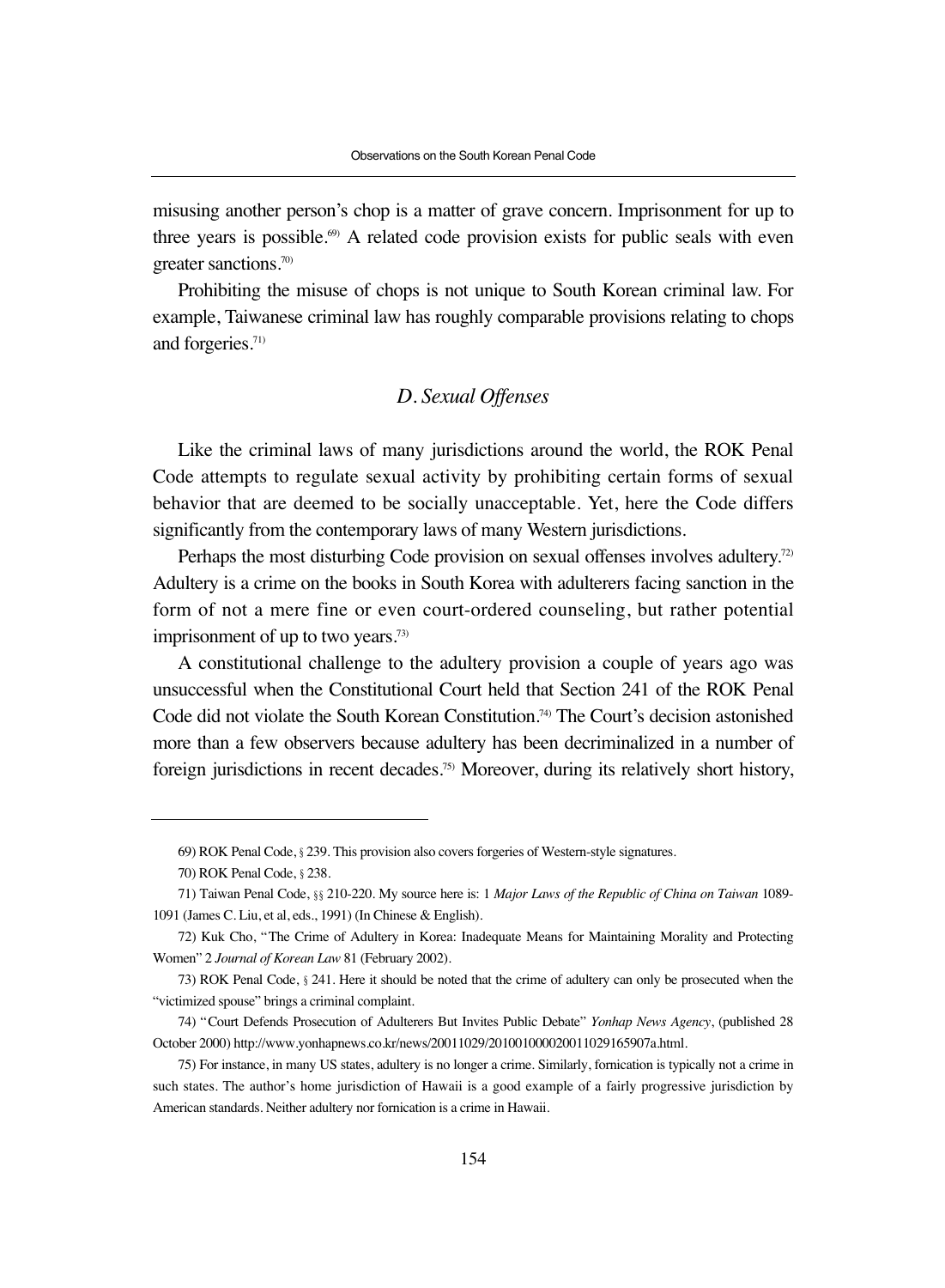misusing another person's chop is a matter of grave concern. Imprisonment for up to three years is possible. $69$  A related code provision exists for public seals with even greater sanctions.70)

Prohibiting the misuse of chops is not unique to South Korean criminal law. For example, Taiwanese criminal law has roughly comparable provisions relating to chops and forgeries.<sup>71)</sup>

## *D. Sexual Offenses*

Like the criminal laws of many jurisdictions around the world, the ROK Penal Code attempts to regulate sexual activity by prohibiting certain forms of sexual behavior that are deemed to be socially unacceptable. Yet, here the Code differs significantly from the contemporary laws of many Western jurisdictions.

Perhaps the most disturbing Code provision on sexual offenses involves adultery.<sup>72)</sup> Adultery is a crime on the books in South Korea with adulterers facing sanction in the form of not a mere fine or even court-ordered counseling, but rather potential imprisonment of up to two years.73)

A constitutional challenge to the adultery provision a couple of years ago was unsuccessful when the Constitutional Court held that Section 241 of the ROK Penal Code did not violate the South Korean Constitution.74) The Court's decision astonished more than a few observers because adultery has been decriminalized in a number of foreign jurisdictions in recent decades.75) Moreover, during its relatively short history,

<sup>69)</sup> ROK Penal Code, §239. This provision also covers forgeries of Western-style signatures.

<sup>70)</sup> ROK Penal Code, §238.

<sup>71)</sup> Taiwan Penal Code, §§210-220. My source here is: 1 *Major Laws of the Republic of China on Taiwan* 1089- 1091 (James C. Liu, et al, eds., 1991) (In Chinese & English).

<sup>72)</sup> Kuk Cho, "The Crime of Adultery in Korea: Inadequate Means for Maintaining Morality and Protecting Women" 2 *Journal of Korean Law* 81 (February 2002).

<sup>73)</sup> ROK Penal Code, §241. Here it should be noted that the crime of adultery can only be prosecuted when the "victimized spouse" brings a criminal complaint.

<sup>74) &</sup>quot;Court Defends Prosecution of Adulterers But Invites Public Debate" *Yonhap News Agency*, (published 28 October 2000) http://www.yonhapnews.co.kr/news/20011029/201001000020011029165907a.html.

<sup>75)</sup> For instance, in many US states, adultery is no longer a crime. Similarly, fornication is typically not a crime in such states. The author's home jurisdiction of Hawaii is a good example of a fairly progressive jurisdiction by American standards. Neither adultery nor fornication is a crime in Hawaii.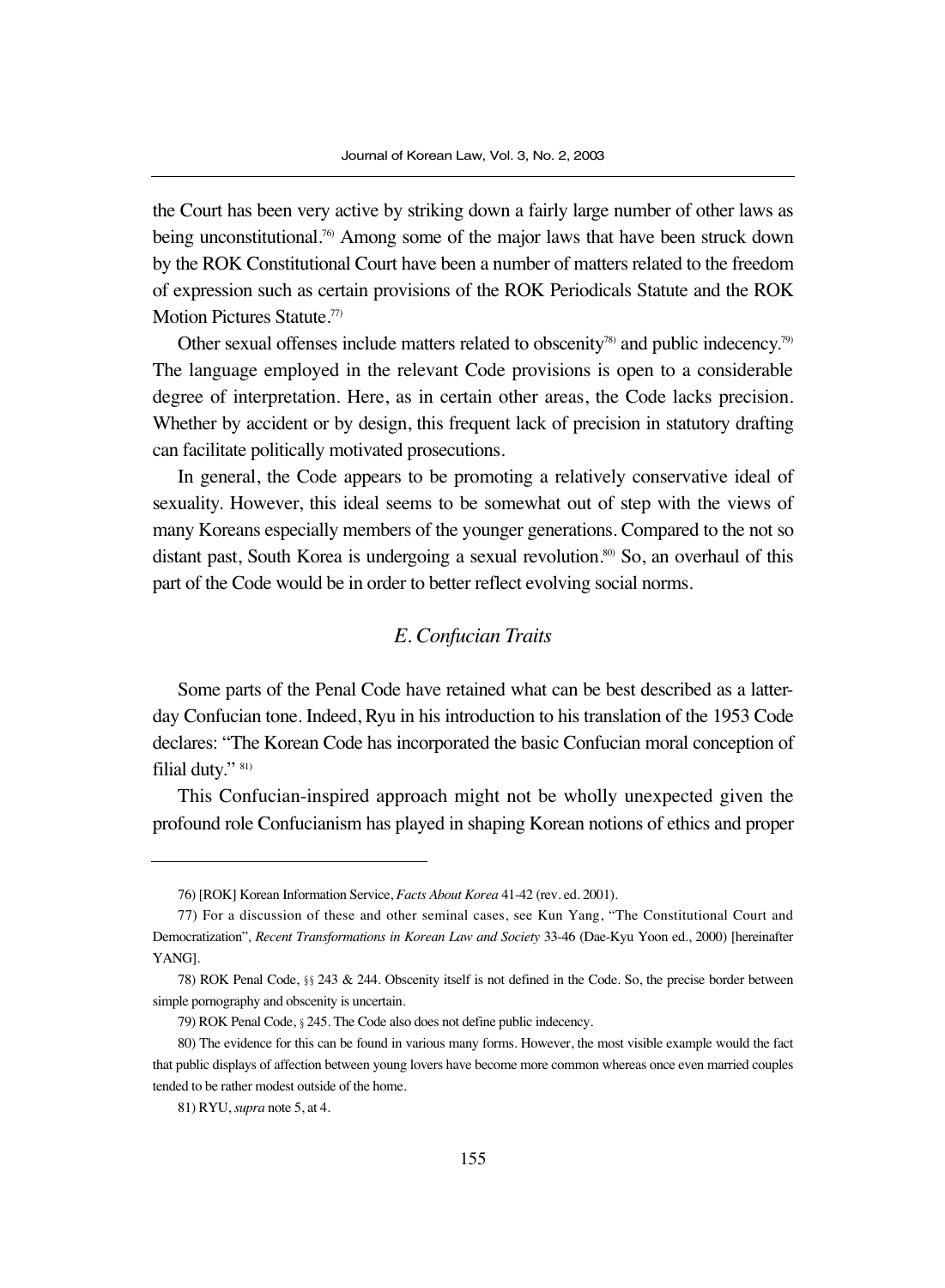the Court has been very active by striking down a fairly large number of other laws as being unconstitutional.<sup>76</sup> Among some of the major laws that have been struck down by the ROK Constitutional Court have been a number of matters related to the freedom of expression such as certain provisions of the ROK Periodicals Statute and the ROK Motion Pictures Statute.<sup>77</sup>

Other sexual offenses include matters related to obscenity<sup>78)</sup> and public indecency.<sup>79)</sup> The language employed in the relevant Code provisions is open to a considerable degree of interpretation. Here, as in certain other areas, the Code lacks precision. Whether by accident or by design, this frequent lack of precision in statutory drafting can facilitate politically motivated prosecutions.

In general, the Code appears to be promoting a relatively conservative ideal of sexuality. However, this ideal seems to be somewhat out of step with the views of many Koreans especially members of the younger generations. Compared to the not so distant past, South Korea is undergoing a sexual revolution.<sup>80)</sup> So, an overhaul of this part of the Code would be in order to better reflect evolving social norms.

#### *E. Confucian Traits*

Some parts of the Penal Code have retained what can be best described as a latterday Confucian tone. Indeed, Ryu in his introduction to his translation of the 1953 Code declares: "The Korean Code has incorporated the basic Confucian moral conception of filial duty." 81)

This Confucian-inspired approach might not be wholly unexpected given the profound role Confucianism has played in shaping Korean notions of ethics and proper

<sup>76) [</sup>ROK] Korean Information Service, *Facts About Korea* 41-42 (rev. ed. 2001).

<sup>77)</sup> For a discussion of these and other seminal cases, see Kun Yang, "The Constitutional Court and Democratization"*, Recent Transformations in Korean Law and Society* 33-46 (Dae-Kyu Yoon ed., 2000) [hereinafter YANG].

<sup>78)</sup> ROK Penal Code, §§243 & 244. Obscenity itself is not defined in the Code. So, the precise border between simple pornography and obscenity is uncertain.

<sup>79)</sup> ROK Penal Code, §245. The Code also does not define public indecency.

<sup>80)</sup> The evidence for this can be found in various many forms. However, the most visible example would the fact that public displays of affection between young lovers have become more common whereas once even married couples tended to be rather modest outside of the home.

<sup>81)</sup> RYU, *supra* note 5, at 4.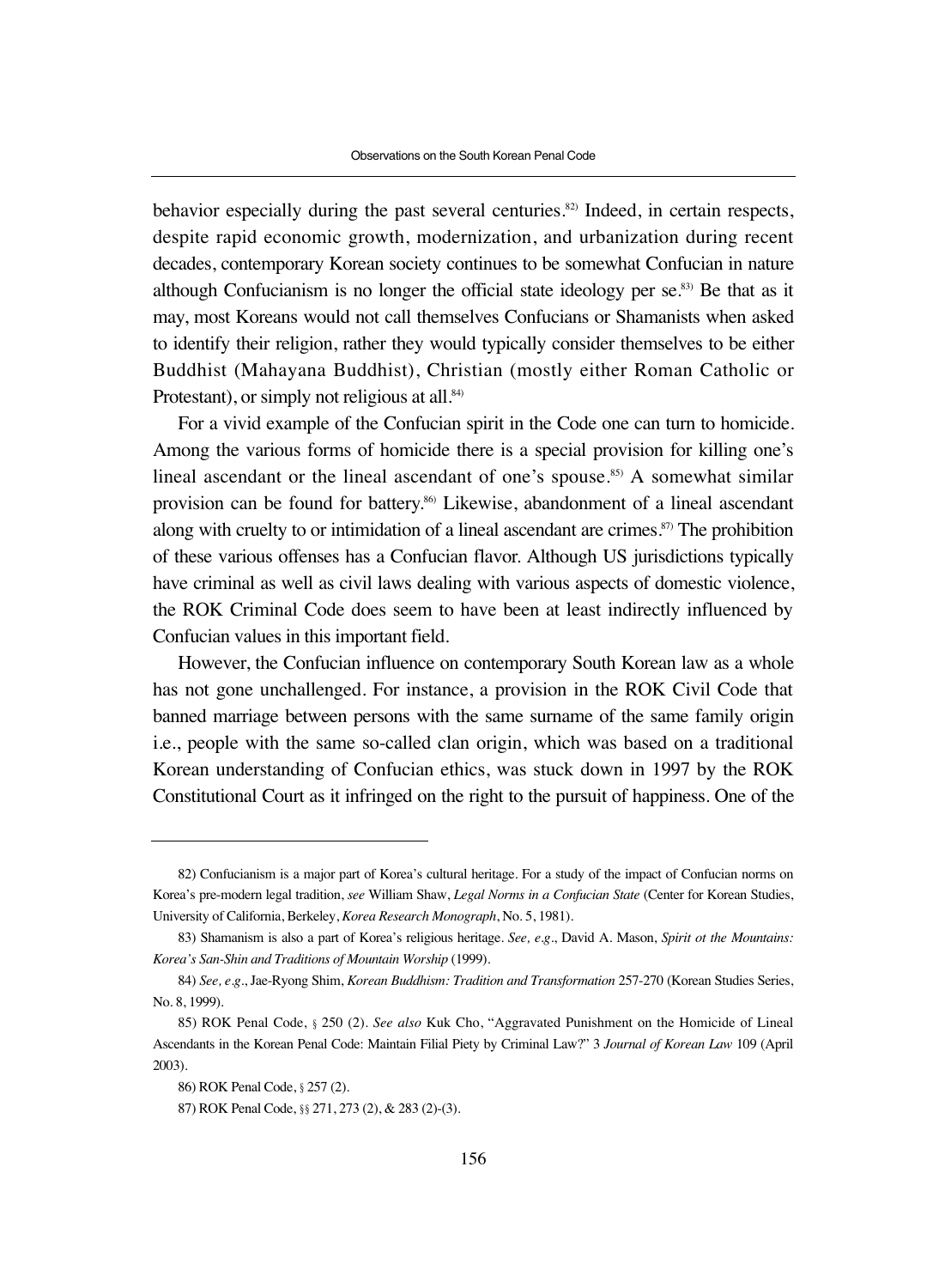behavior especially during the past several centuries.<sup>82)</sup> Indeed, in certain respects, despite rapid economic growth, modernization, and urbanization during recent decades, contemporary Korean society continues to be somewhat Confucian in nature although Confucianism is no longer the official state ideology per  $se^{83}$ . Be that as it may, most Koreans would not call themselves Confucians or Shamanists when asked to identify their religion, rather they would typically consider themselves to be either Buddhist (Mahayana Buddhist), Christian (mostly either Roman Catholic or Protestant), or simply not religious at all.<sup>84)</sup>

For a vivid example of the Confucian spirit in the Code one can turn to homicide. Among the various forms of homicide there is a special provision for killing one's lineal ascendant or the lineal ascendant of one's spouse.<sup>85)</sup> A somewhat similar provision can be found for battery.<sup>86)</sup> Likewise, abandonment of a lineal ascendant along with cruelty to or intimidation of a lineal ascendant are crimes. $87$  The prohibition of these various offenses has a Confucian flavor. Although US jurisdictions typically have criminal as well as civil laws dealing with various aspects of domestic violence, the ROK Criminal Code does seem to have been at least indirectly influenced by Confucian values in this important field.

However, the Confucian influence on contemporary South Korean law as a whole has not gone unchallenged. For instance, a provision in the ROK Civil Code that banned marriage between persons with the same surname of the same family origin i.e., people with the same so-called clan origin, which was based on a traditional Korean understanding of Confucian ethics, was stuck down in 1997 by the ROK Constitutional Court as it infringed on the right to the pursuit of happiness. One of the

<sup>82)</sup> Confucianism is a major part of Korea's cultural heritage. For a study of the impact of Confucian norms on Korea's pre-modern legal tradition, *see* William Shaw, *Legal Norms in a Confucian State* (Center for Korean Studies, University of California, Berkeley, *Korea Research Monograph*, No. 5, 1981).

<sup>83)</sup> Shamanism is also a part of Korea's religious heritage. *See, e.g*., David A. Mason, *Spirit ot the Mountains: Korea's San-Shin and Traditions of Mountain Worship* (1999).

<sup>84)</sup> *See, e.g*., Jae-Ryong Shim, *Korean Buddhism: Tradition and Transformation* 257-270 (Korean Studies Series, No. 8, 1999).

<sup>85)</sup> ROK Penal Code, §250 (2). *See also* Kuk Cho, "Aggravated Punishment on the Homicide of Lineal Ascendants in the Korean Penal Code: Maintain Filial Piety by Criminal Law?" 3 *Journal of Korean Law* 109 (April 2003).

<sup>86)</sup> ROK Penal Code, §257 (2).

<sup>87)</sup> ROK Penal Code, §§ 271, 273 (2), & 283 (2)-(3).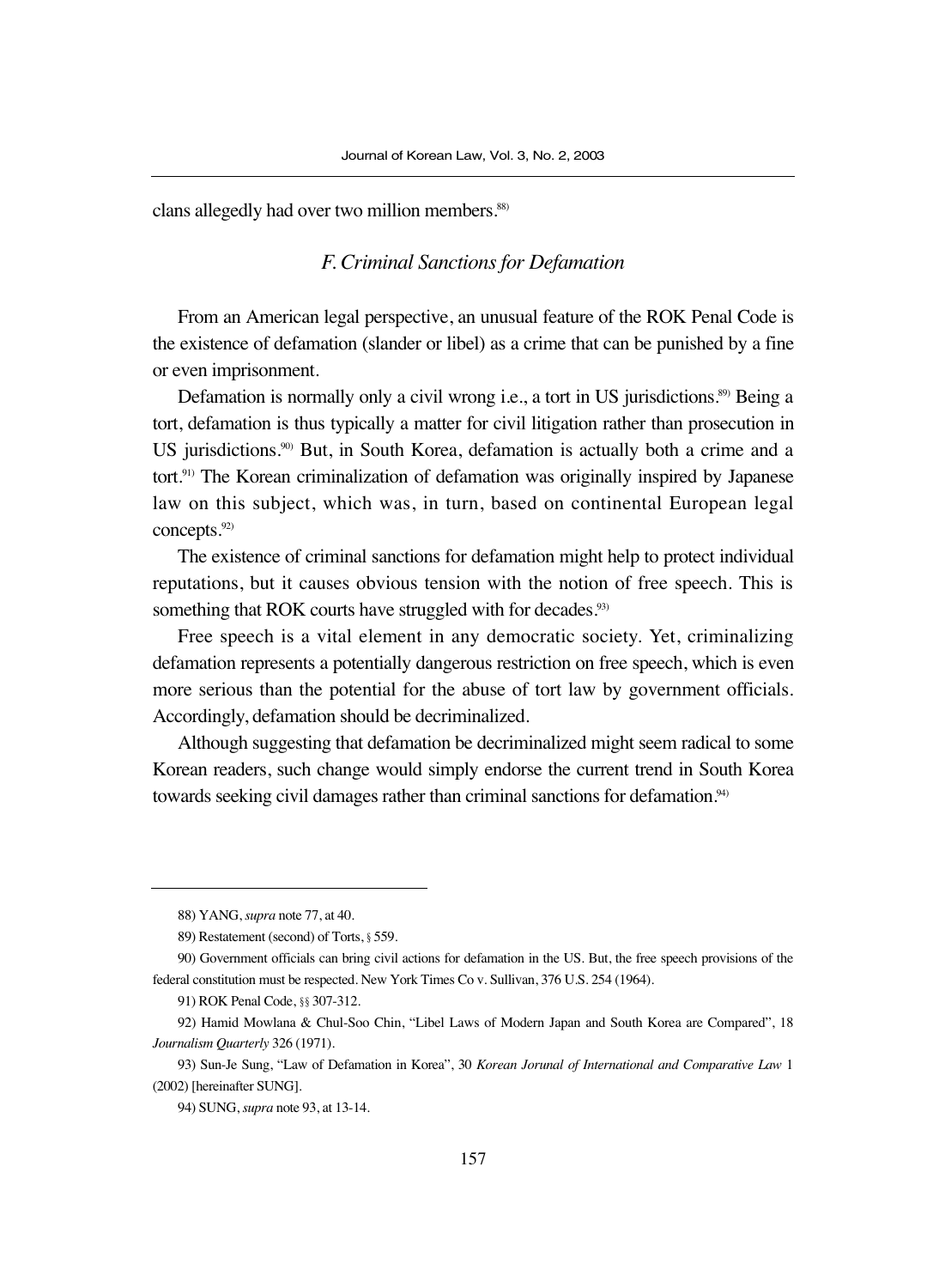clans allegedly had over two million members.<sup>88)</sup>

## *F. Criminal Sanctions for Defamation*

From an American legal perspective, an unusual feature of the ROK Penal Code is the existence of defamation (slander or libel) as a crime that can be punished by a fine or even imprisonment.

Defamation is normally only a civil wrong i.e., a tort in US jurisdictions.<sup>89)</sup> Being a tort, defamation is thus typically a matter for civil litigation rather than prosecution in US jurisdictions.<sup>90</sup> But, in South Korea, defamation is actually both a crime and a tort.<sup>91)</sup> The Korean criminalization of defamation was originally inspired by Japanese law on this subject, which was, in turn, based on continental European legal concepts.<sup>92)</sup>

The existence of criminal sanctions for defamation might help to protect individual reputations, but it causes obvious tension with the notion of free speech. This is something that ROK courts have struggled with for decades.<sup>93)</sup>

Free speech is a vital element in any democratic society. Yet, criminalizing defamation represents a potentially dangerous restriction on free speech, which is even more serious than the potential for the abuse of tort law by government officials. Accordingly, defamation should be decriminalized.

Although suggesting that defamation be decriminalized might seem radical to some Korean readers, such change would simply endorse the current trend in South Korea towards seeking civil damages rather than criminal sanctions for defamation.<sup>94)</sup>

<sup>88)</sup> YANG, *supra* note 77, at 40.

<sup>89)</sup> Restatement (second) of Torts, §559.

<sup>90)</sup> Government officials can bring civil actions for defamation in the US. But, the free speech provisions of the federal constitution must be respected. New York Times Co v. Sullivan, 376 U.S. 254 (1964).

<sup>91)</sup> ROK Penal Code, §§307-312.

<sup>92)</sup> Hamid Mowlana & Chul-Soo Chin, "Libel Laws of Modern Japan and South Korea are Compared", 18 *Journalism Quarterly* 326 (1971).

<sup>93)</sup> Sun-Je Sung, "Law of Defamation in Korea", 30 *Korean Jorunal of International and Comparative Law* 1 (2002) [hereinafter SUNG].

<sup>94)</sup> SUNG, *supra* note 93, at 13-14.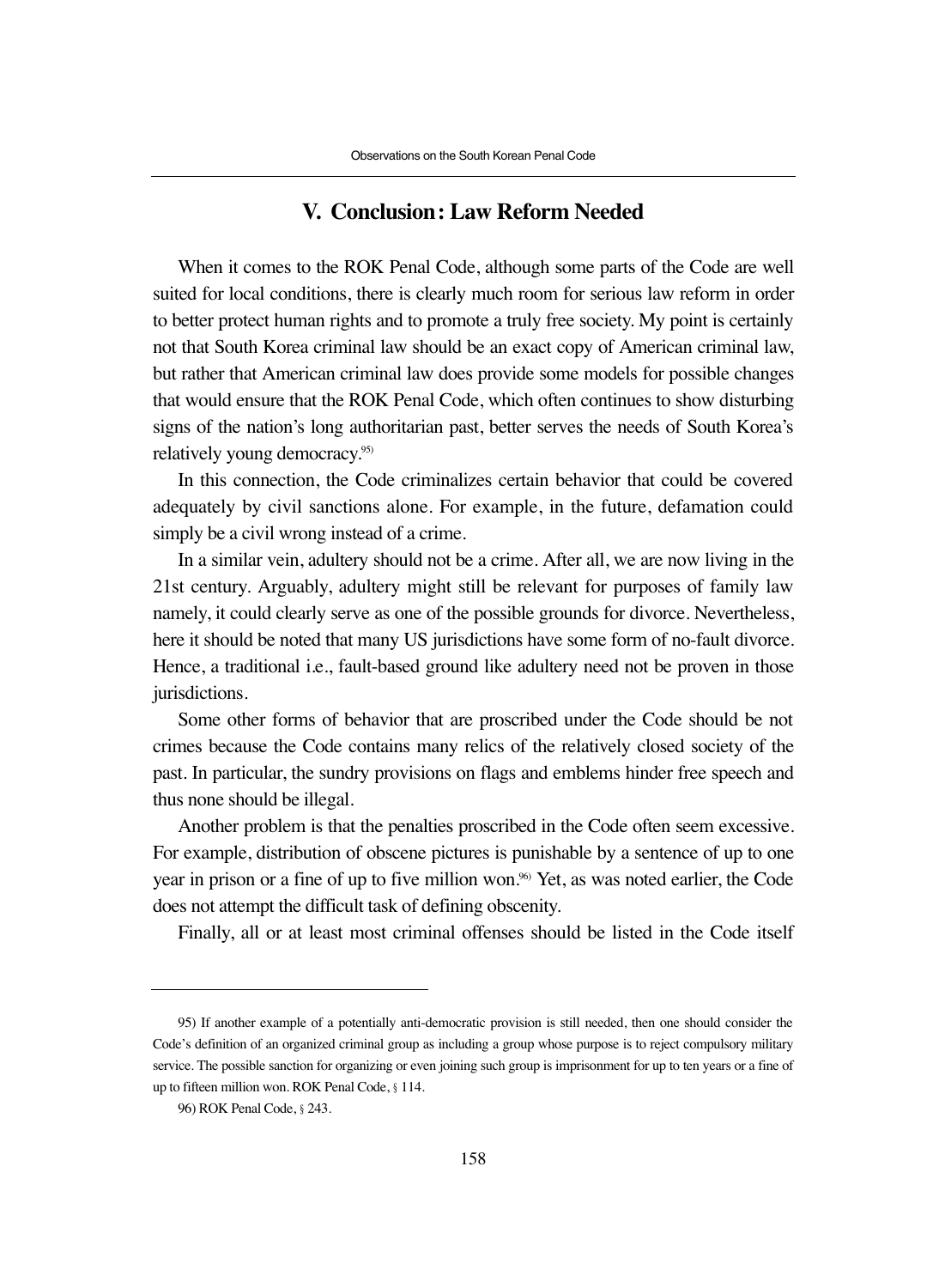#### **V. Conclusion: Law Reform Needed**

When it comes to the ROK Penal Code, although some parts of the Code are well suited for local conditions, there is clearly much room for serious law reform in order to better protect human rights and to promote a truly free society. My point is certainly not that South Korea criminal law should be an exact copy of American criminal law, but rather that American criminal law does provide some models for possible changes that would ensure that the ROK Penal Code, which often continues to show disturbing signs of the nation's long authoritarian past, better serves the needs of South Korea's relatively young democracy.95)

In this connection, the Code criminalizes certain behavior that could be covered adequately by civil sanctions alone. For example, in the future, defamation could simply be a civil wrong instead of a crime.

In a similar vein, adultery should not be a crime. After all, we are now living in the 21st century. Arguably, adultery might still be relevant for purposes of family law namely, it could clearly serve as one of the possible grounds for divorce. Nevertheless, here it should be noted that many US jurisdictions have some form of no-fault divorce. Hence, a traditional i.e., fault-based ground like adultery need not be proven in those jurisdictions.

Some other forms of behavior that are proscribed under the Code should be not crimes because the Code contains many relics of the relatively closed society of the past. In particular, the sundry provisions on flags and emblems hinder free speech and thus none should be illegal.

Another problem is that the penalties proscribed in the Code often seem excessive. For example, distribution of obscene pictures is punishable by a sentence of up to one year in prison or a fine of up to five million won.96) Yet, as was noted earlier, the Code does not attempt the difficult task of defining obscenity.

Finally, all or at least most criminal offenses should be listed in the Code itself

<sup>95)</sup> If another example of a potentially anti-democratic provision is still needed, then one should consider the Code's definition of an organized criminal group as including a group whose purpose is to reject compulsory military service. The possible sanction for organizing or even joining such group is imprisonment for up to ten years or a fine of up to fifteen million won. ROK Penal Code, §114.

<sup>96)</sup> ROK Penal Code, §243.